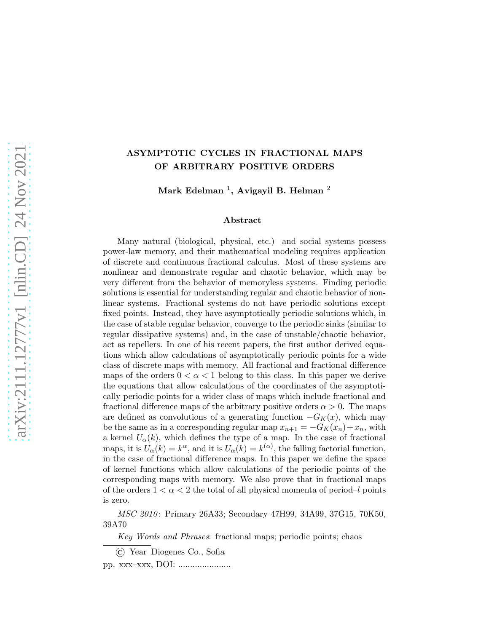# ASYMPTOTIC CYCLES IN FRACTIONAL MAPS OF ARBITRARY POSITIVE ORDERS

Mark Edelman  $^1$ , Avigayil B. Helman  $^2$ 

### Abstract

Many natural (biological, physical, etc.) and social systems possess power-law memory, and their mathematical modeling requires application of discrete and continuous fractional calculus. Most of these systems are nonlinear and demonstrate regular and chaotic behavior, which may be very different from the behavior of memoryless systems. Finding periodic solutions is essential for understanding regular and chaotic behavior of nonlinear systems. Fractional systems do not have periodic solutions except fixed points. Instead, they have asymptotically periodic solutions which, in the case of stable regular behavior, converge to the periodic sinks (similar to regular dissipative systems) and, in the case of unstable/chaotic behavior, act as repellers. In one of his recent papers, the first author derived equations which allow calculations of asymptotically periodic points for a wide class of discrete maps with memory. All fractional and fractional difference maps of the orders  $0 < \alpha < 1$  belong to this class. In this paper we derive the equations that allow calculations of the coordinates of the asymptotically periodic points for a wider class of maps which include fractional and fractional difference maps of the arbitrary positive orders  $\alpha > 0$ . The maps are defined as convolutions of a generating function  $-G_K(x)$ , which may be the same as in a corresponding regular map  $x_{n+1} = -G_K(x_n) + x_n$ , with a kernel  $U_{\alpha}(k)$ , which defines the type of a map. In the case of fractional maps, it is  $U_{\alpha}(k) = k^{\alpha}$ , and it is  $U_{\alpha}(k) = k^{(\alpha)}$ , the falling factorial function, in the case of fractional difference maps. In this paper we define the space of kernel functions which allow calculations of the periodic points of the corresponding maps with memory. We also prove that in fractional maps of the orders  $1 < \alpha < 2$  the total of all physical momenta of period–l points is zero.

MSC 2010: Primary 26A33; Secondary 47H99, 34A99, 37G15, 70K50, 39A70

Key Words and Phrases: fractional maps; periodic points; chaos

<sup>©</sup> Year Diogenes Co., Sofia

pp. xxx–xxx, DOI: ......................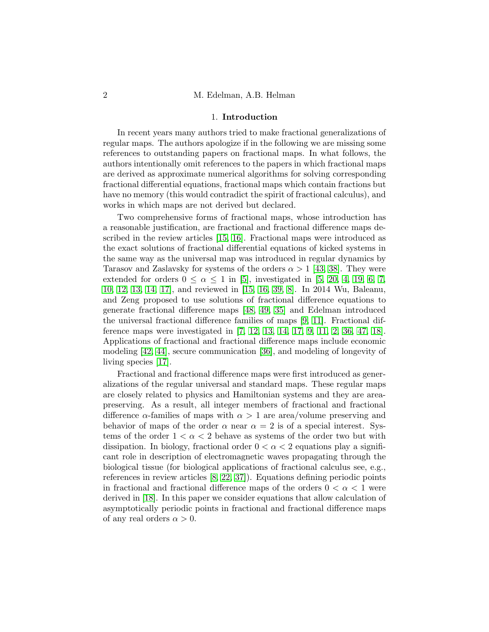### 1. Introduction

In recent years many authors tried to make fractional generalizations of regular maps. The authors apologize if in the following we are missing some references to outstanding papers on fractional maps. In what follows, the authors intentionally omit references to the papers in which fractional maps are derived as approximate numerical algorithms for solving corresponding fractional differential equations, fractional maps which contain fractions but have no memory (this would contradict the spirit of fractional calculus), and works in which maps are not derived but declared.

Two comprehensive forms of fractional maps, whose introduction has a reasonable justification, are fractional and fractional difference maps described in the review articles [\[15,](#page-24-0) [16\]](#page-24-1). Fractional maps were introduced as the exact solutions of fractional differential equations of kicked systems in the same way as the universal map was introduced in regular dynamics by Tarasov and Zaslavsky for systems of the orders  $\alpha > 1$  [\[43,](#page-26-0) [38\]](#page-25-0). They were extended for orders  $0 \le \alpha \le 1$  in [\[5\]](#page-23-0), investigated in [\[5,](#page-23-0) [20,](#page-24-2) [4,](#page-23-1) [19,](#page-24-3) [6,](#page-23-2) [7,](#page-23-3) [10,](#page-23-4) [12,](#page-23-5) [13,](#page-24-4) [14,](#page-24-5) [17\]](#page-24-6), and reviewed in [\[15,](#page-24-0) [16,](#page-24-1) [39,](#page-26-1) [8\]](#page-23-6). In 2014 Wu, Baleanu, and Zeng proposed to use solutions of fractional difference equations to generate fractional difference maps [\[48,](#page-26-2) [49,](#page-26-3) [35\]](#page-25-1) and Edelman introduced the universal fractional difference families of maps [\[9,](#page-23-7) [11\]](#page-23-8). Fractional difference maps were investigated in [\[7,](#page-23-3) [12,](#page-23-5) [13,](#page-24-4) [14,](#page-24-5) [17,](#page-24-6) [9,](#page-23-7) [11,](#page-23-8) [2,](#page-23-9) [36,](#page-25-2) [47,](#page-26-4) [18\]](#page-24-7). Applications of fractional and fractional difference maps include economic modeling [\[42,](#page-26-5) [44\]](#page-26-6), secure communication [\[36\]](#page-25-2), and modeling of longevity of living species [\[17\]](#page-24-6).

Fractional and fractional difference maps were first introduced as generalizations of the regular universal and standard maps. These regular maps are closely related to physics and Hamiltonian systems and they are areapreserving. As a result, all integer members of fractional and fractional difference  $\alpha$ -families of maps with  $\alpha > 1$  are area/volume preserving and behavior of maps of the order  $\alpha$  near  $\alpha = 2$  is of a special interest. Systems of the order  $1 < \alpha < 2$  behave as systems of the order two but with dissipation. In biology, fractional order  $0 < \alpha < 2$  equations play a significant role in description of electromagnetic waves propagating through the biological tissue (for biological applications of fractional calculus see, e.g., references in review articles [\[8,](#page-23-6) [22,](#page-24-8) [37\]](#page-25-3)). Equations defining periodic points in fractional and fractional difference maps of the orders  $0 < \alpha < 1$  were derived in [\[18\]](#page-24-7). In this paper we consider equations that allow calculation of asymptotically periodic points in fractional and fractional difference maps of any real orders  $\alpha > 0$ .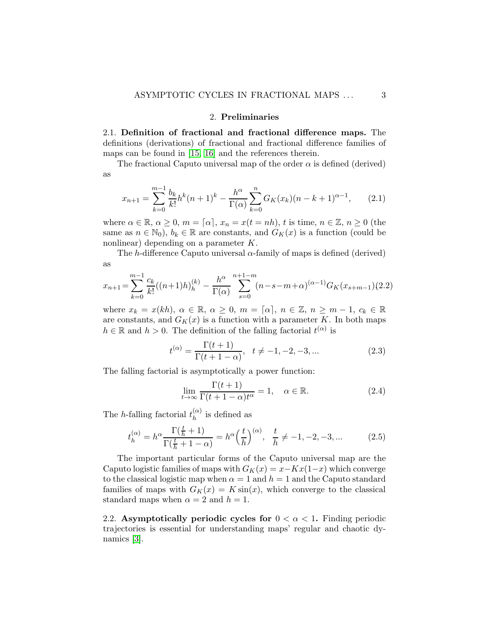## 2. Preliminaries

2.1. Definition of fractional and fractional difference maps. The definitions (derivations) of fractional and fractional difference families of maps can be found in [\[15,](#page-24-0) [16\]](#page-24-1) and the references therein.

The fractional Caputo universal map of the order  $\alpha$  is defined (derived) as

<span id="page-2-0"></span>
$$
x_{n+1} = \sum_{k=0}^{m-1} \frac{b_k}{k!} h^k (n+1)^k - \frac{h^{\alpha}}{\Gamma(\alpha)} \sum_{k=0}^n G_K(x_k) (n-k+1)^{\alpha-1}, \qquad (2.1)
$$

where  $\alpha \in \mathbb{R}, \alpha \geq 0, m = [\alpha], x_n = x(t = nh), t$  is time,  $n \in \mathbb{Z}, n \geq 0$  (the same as  $n \in \mathbb{N}_0$ ,  $b_k \in \mathbb{R}$  are constants, and  $G_K(x)$  is a function (could be nonlinear) depending on a parameter K.

The h-difference Caputo universal  $\alpha$ -family of maps is defined (derived) as

<span id="page-2-1"></span>
$$
x_{n+1} = \sum_{k=0}^{m-1} \frac{c_k}{k!} ((n+1)h)_h^{(k)} - \frac{h^{\alpha}}{\Gamma(\alpha)} \sum_{s=0}^{n+1-m} (n-s-m+\alpha)^{(\alpha-1)} G_K(x_{s+m-1})(2.2)
$$

where  $x_k = x(kh)$ ,  $\alpha \in \mathbb{R}$ ,  $\alpha \geq 0$ ,  $m = [\alpha]$ ,  $n \in \mathbb{Z}$ ,  $n \geq m-1$ ,  $c_k \in \mathbb{R}$ are constants, and  $G_K(x)$  is a function with a parameter K. In both maps  $h \in \mathbb{R}$  and  $h > 0$ . The definition of the falling factorial  $t^{(\alpha)}$  is

$$
t^{(\alpha)} = \frac{\Gamma(t+1)}{\Gamma(t+1-\alpha)}, \quad t \neq -1, -2, -3, \dots
$$
 (2.3)

The falling factorial is asymptotically a power function:

$$
\lim_{t \to \infty} \frac{\Gamma(t+1)}{\Gamma(t+1-\alpha)t^{\alpha}} = 1, \quad \alpha \in \mathbb{R}.
$$
\n(2.4)

The *h*-falling factorial  $t_h^{(\alpha)}$  $h^{(\alpha)}$  is defined as

$$
t_h^{(\alpha)} = h^{\alpha} \frac{\Gamma(\frac{t}{h} + 1)}{\Gamma(\frac{t}{h} + 1 - \alpha)} = h^{\alpha} \left(\frac{t}{h}\right)^{(\alpha)}, \quad \frac{t}{h} \neq -1, -2, -3, \dots
$$
 (2.5)

The important particular forms of the Caputo universal map are the Caputo logistic families of maps with  $G_K(x) = x - Kx(1-x)$  which converge to the classical logistic map when  $\alpha = 1$  and  $h = 1$  and the Caputo standard families of maps with  $G_K(x) = K \sin(x)$ , which converge to the classical standard maps when  $\alpha = 2$  and  $h = 1$ .

2.2. Asymptotically periodic cycles for  $0 < \alpha < 1$ . Finding periodic trajectories is essential for understanding maps' regular and chaotic dynamics [\[3\]](#page-23-10).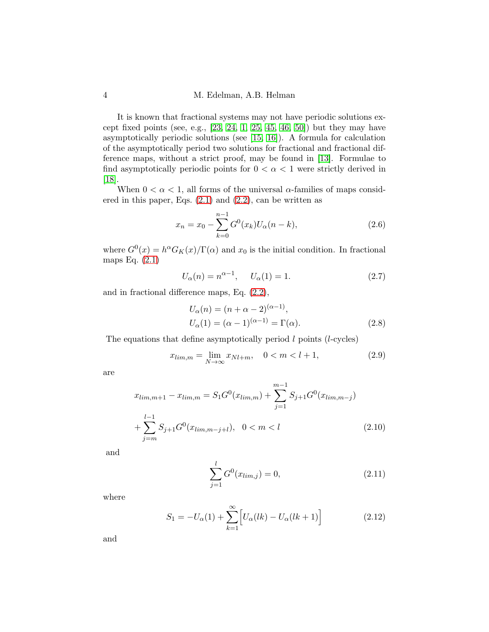It is known that fractional systems may not have periodic solutions except fixed points (see, e.g.,  $[23, 24, 1, 25, 45, 46, 50]$  $[23, 24, 1, 25, 45, 46, 50]$  $[23, 24, 1, 25, 45, 46, 50]$  $[23, 24, 1, 25, 45, 46, 50]$  $[23, 24, 1, 25, 45, 46, 50]$  $[23, 24, 1, 25, 45, 46, 50]$  $[23, 24, 1, 25, 45, 46, 50]$ ) but they may have asymptotically periodic solutions (see [\[15,](#page-24-0) [16\]](#page-24-1)). A formula for calculation of the asymptotically period two solutions for fractional and fractional difference maps, without a strict proof, may be found in [\[13\]](#page-24-4). Formulae to find asymptotically periodic points for  $0 < \alpha < 1$  were strictly derived in [\[18\]](#page-24-7).

When  $0 < \alpha < 1$ , all forms of the universal  $\alpha$ -families of maps considered in this paper, Eqs.  $(2.1)$  and  $(2.2)$ , can be written as

<span id="page-3-0"></span>
$$
x_n = x_0 - \sum_{k=0}^{n-1} G^0(x_k) U_\alpha(n-k), \qquad (2.6)
$$

where  $G^{0}(x) = h^{\alpha} G_{K}(x) / \Gamma(\alpha)$  and  $x_0$  is the initial condition. In fractional maps Eq. [\(2.1\)](#page-2-0)

<span id="page-3-5"></span>
$$
U_{\alpha}(n) = n^{\alpha - 1}, \quad U_{\alpha}(1) = 1.
$$
 (2.7)

and in fractional difference maps, Eq. [\(2.2\)](#page-2-1),

<span id="page-3-6"></span>
$$
U_{\alpha}(n) = (n + \alpha - 2)^{(\alpha - 1)},
$$
  
\n
$$
U_{\alpha}(1) = (\alpha - 1)^{(\alpha - 1)} = \Gamma(\alpha).
$$
\n(2.8)

The equations that define asymptotically period  $l$  points ( $l$ -cycles)

<span id="page-3-1"></span>
$$
x_{\lim,m} = \lim_{N \to \infty} x_{Nl+m}, \quad 0 < m < l+1,\tag{2.9}
$$

are

<span id="page-3-2"></span>
$$
x_{\lim,m+1} - x_{\lim,m} = S_1 G^0(x_{\lim,m}) + \sum_{j=1}^{m-1} S_{j+1} G^0(x_{\lim,m-j})
$$
  
+ 
$$
\sum_{j=m}^{l-1} S_{j+1} G^0(x_{\lim,m-j+l}), \quad 0 < m < l \tag{2.10}
$$

and

<span id="page-3-3"></span>
$$
\sum_{j=1}^{l} G^{0}(x_{\lim,j}) = 0,
$$
\n(2.11)

where

<span id="page-3-4"></span>
$$
S_1 = -U_{\alpha}(1) + \sum_{k=1}^{\infty} \left[ U_{\alpha}(lk) - U_{\alpha}(lk+1) \right]
$$
 (2.12)

and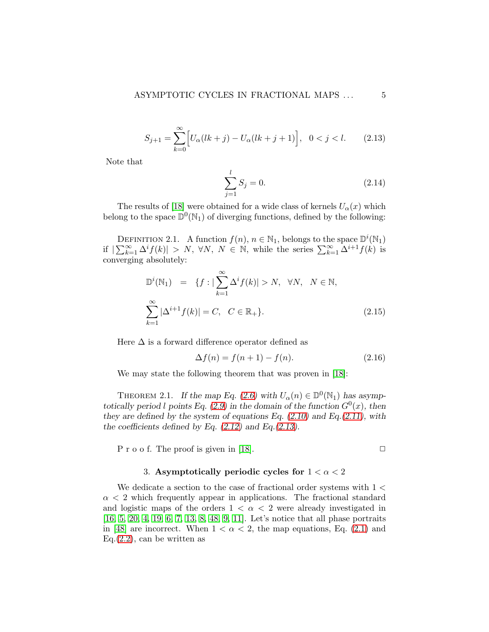<span id="page-4-0"></span>
$$
S_{j+1} = \sum_{k=0}^{\infty} \Big[ U_{\alpha}(lk+j) - U_{\alpha}(lk+j+1) \Big], \quad 0 < j < l. \tag{2.13}
$$

Note that

<span id="page-4-1"></span>
$$
\sum_{j=1}^{l} S_j = 0.
$$
\n(2.14)

The results of [\[18\]](#page-24-7) were obtained for a wide class of kernels  $U_{\alpha}(x)$  which belong to the space  $\mathbb{D}^0(\mathbb{N}_1)$  of diverging functions, defined by the following:

<span id="page-4-2"></span>DEFINITION 2.1. A function  $f(n)$ ,  $n \in \mathbb{N}_1$ , belongs to the space  $\mathbb{D}^i(\mathbb{N}_1)$ if  $|\sum_{k=1}^{\infty} \Delta^{i} f(k)| > N$ ,  $\forall N, N \in \mathbb{N}$ , while the series  $\sum_{k=1}^{\infty} \Delta^{i+1} f(k)$  is converging absolutely:

$$
\mathbb{D}^{i}(\mathbb{N}_{1}) = \{f : |\sum_{k=1}^{\infty} \Delta^{i} f(k)| > N, \forall N, N \in \mathbb{N},
$$
  

$$
\sum_{k=1}^{\infty} |\Delta^{i+1} f(k)| = C, C \in \mathbb{R}_{+}\}.
$$
 (2.15)

Here  $\Delta$  is a forward difference operator defined as

$$
\Delta f(n) = f(n+1) - f(n). \tag{2.16}
$$

We may state the following theorem that was proven in [\[18\]](#page-24-7):

THEOREM 2.1. If the map Eq. [\(2.6\)](#page-3-0) with  $U_{\alpha}(n) \in \mathbb{D}^0(\mathbb{N}_1)$  has asymp-totically period l points Eq. [\(2.9\)](#page-3-1) in the domain of the function  $G^0(x)$ , then they are defined by the system of equations Eq.  $(2.10)$  and Eq. $(2.11)$ , with the coefficients defined by Eq.  $(2.12)$  and Eq. $(2.13)$ .

P r o o f. The proof is given in [\[18\]](#page-24-7).  $\Box$ 

### 3. Asymptotically periodic cycles for  $1 < \alpha < 2$

We dedicate a section to the case of fractional order systems with  $1 <$  $\alpha$  < 2 which frequently appear in applications. The fractional standard and logistic maps of the orders  $1 < \alpha < 2$  were already investigated in [\[16,](#page-24-1) [5,](#page-23-0) [20,](#page-24-2) [4,](#page-23-1) [19,](#page-24-3) [6,](#page-23-2) [7,](#page-23-3) [13,](#page-24-4) [8,](#page-23-6) [48,](#page-26-2) [9,](#page-23-7) [11\]](#page-23-8). Let's notice that all phase portraits in [\[48\]](#page-26-2) are incorrect. When  $1 < \alpha < 2$ , the map equations, Eq. [\(2.1\)](#page-2-0) and  $Eq.(2.2)$  $Eq.(2.2)$ , can be written as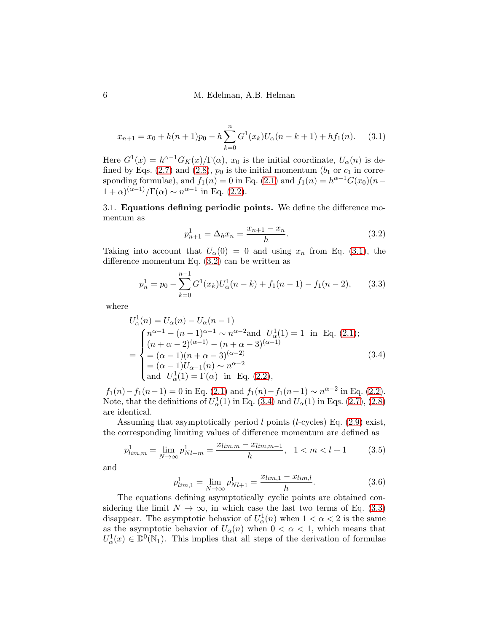<span id="page-5-0"></span>
$$
x_{n+1} = x_0 + h(n+1)p_0 - h \sum_{k=0}^{n} G^1(x_k)U_\alpha(n-k+1) + hf_1(n). \tag{3.1}
$$

Here  $G^1(x) = h^{\alpha-1} G_K(x)/\Gamma(\alpha)$ ,  $x_0$  is the initial coordinate,  $U_\alpha(n)$  is de-fined by Eqs. [\(2.7\)](#page-3-5) and [\(2.8\)](#page-3-6),  $p_0$  is the initial momentum ( $b_1$  or  $c_1$  in corresponding formulae), and  $f_1(n) = 0$  in Eq. [\(2.1\)](#page-2-0) and  $f_1(n) = h^{\alpha-1}G(x_0)(n-1)$  $1+\alpha)^{(\alpha-1)}/\Gamma(\alpha) \sim n^{\alpha-1}$  in Eq. [\(2.2\)](#page-2-1).

3.1. Equations defining periodic points. We define the difference momentum as

<span id="page-5-1"></span>
$$
p_{n+1}^1 = \Delta_h x_n = \frac{x_{n+1} - x_n}{h}.\tag{3.2}
$$

Taking into account that  $U_{\alpha}(0) = 0$  and using  $x_n$  from Eq. [\(3.1\)](#page-5-0), the difference momentum Eq. [\(3.2\)](#page-5-1) can be written as

<span id="page-5-3"></span>
$$
p_n^1 = p_0 - \sum_{k=0}^{n-1} G^1(x_k) U_\alpha^1(n-k) + f_1(n-1) - f_1(n-2), \qquad (3.3)
$$

where

<span id="page-5-2"></span>
$$
U_{\alpha}^{1}(n) = U_{\alpha}(n) - U_{\alpha}(n - 1)
$$
  
\n
$$
= \begin{cases} n^{\alpha - 1} - (n - 1)^{\alpha - 1} \sim n^{\alpha - 2} \text{and } U_{\alpha}^{1}(1) = 1 \text{ in Eq. (2.1)}; \\ (n + \alpha - 2)^{(\alpha - 1)} - (n + \alpha - 3)^{(\alpha - 1)} \\ = (\alpha - 1)(n + \alpha - 3)^{(\alpha - 2)} \\ = (\alpha - 1)U_{\alpha - 1}(n) \sim n^{\alpha - 2} \\ \text{and } U_{\alpha}^{1}(1) = \Gamma(\alpha) \text{ in Eq. (2.2)}, \end{cases}
$$
(3.4)

 $f_1(n) - f_1(n-1) = 0$  in Eq. [\(2.1\)](#page-2-0) and  $f_1(n) - f_1(n-1) \sim n^{\alpha - 2}$  in Eq. [\(2.2\)](#page-2-1). Note, that the definitions of  $U^1_\alpha(1)$  in Eq. [\(3.4\)](#page-5-2) and  $U_\alpha(1)$  in Eqs. [\(2.7\)](#page-3-5), [\(2.8\)](#page-3-6) are identical.

Assuming that asymptotically period  $l$  points (*l*-cycles) Eq.  $(2.9)$  exist, the corresponding limiting values of difference momentum are defined as

<span id="page-5-4"></span>
$$
p_{\lim,m}^1 = \lim_{N \to \infty} p_{Nl+m}^1 = \frac{x_{\lim,m} - x_{\lim,m-1}}{h}, \quad 1 < m < l+1 \tag{3.5}
$$

and

<span id="page-5-5"></span>
$$
p_{lim,1}^1 = \lim_{N \to \infty} p_{Nl+1}^1 = \frac{x_{lim,1} - x_{lim,l}}{h}.
$$
 (3.6)

The equations defining asymptotically cyclic points are obtained considering the limit  $N \to \infty$ , in which case the last two terms of Eq. [\(3.3\)](#page-5-3) disappear. The asymptotic behavior of  $U^1_\alpha(n)$  when  $1 < \alpha < 2$  is the same as the asymptotic behavior of  $U_{\alpha}(n)$  when  $0 < \alpha < 1$ , which means that  $U^1_\alpha(x) \in \mathbb{D}^0(\mathbb{N}_1)$ . This implies that all steps of the derivation of formulae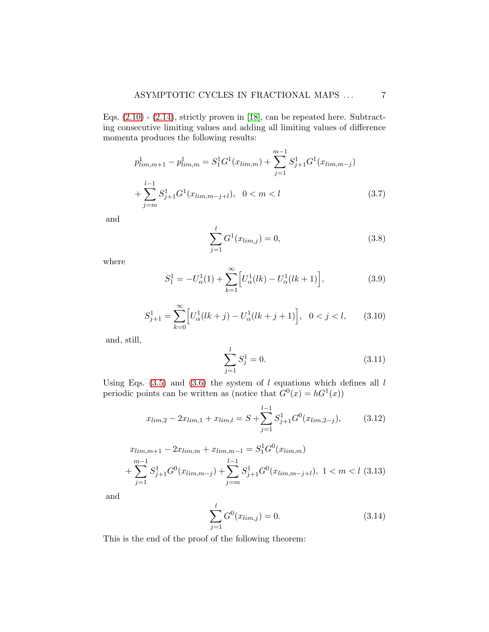Eqs. [\(2.10\)](#page-3-2) - [\(2.14\)](#page-4-1), strictly proven in [\[18\]](#page-24-7), can be repeated here. Subtracting consecutive limiting values and adding all limiting values of difference momenta produces the following results:

$$
p_{\lim,m+1}^1 - p_{\lim,m}^1 = S_1^1 G^1(x_{\lim,m}) + \sum_{j=1}^{m-1} S_{j+1}^1 G^1(x_{\lim,m-j}) + \sum_{j=m}^{l-1} S_{j+1}^1 G^1(x_{\lim,m-j+l}), \quad 0 < m < l \tag{3.7}
$$

and

$$
\sum_{j=1}^{l} G^{1}(x_{\lim,j}) = 0,
$$
\n(3.8)

where

<span id="page-6-3"></span>
$$
S_1^1 = -U_\alpha^1(1) + \sum_{k=1}^{\infty} \left[ U_\alpha^1(lk) - U_\alpha^1(lk+1) \right],\tag{3.9}
$$

<span id="page-6-4"></span>
$$
S_{j+1}^1 = \sum_{k=0}^{\infty} \left[ U_{\alpha}^1(lk+j) - U_{\alpha}^1(lk+j+1) \right], \ \ 0 < j < l,\tag{3.10}
$$

and, still,

$$
\sum_{j=1}^{l} S_j^1 = 0.
$$
\n(3.11)

Using Eqs. [\(3.5\)](#page-5-4) and [\(3.6\)](#page-5-5) the system of  $l$  equations which defines all  $l$ periodic points can be written as (notice that  $G^0(x) = hG^1(x)$ )

<span id="page-6-0"></span>
$$
x_{\lim,2} - 2x_{\lim,1} + x_{\lim,l} = S + \sum_{j=1}^{l-1} S_{j+1}^1 G^0(x_{\lim,2-j}), \qquad (3.12)
$$

<span id="page-6-1"></span>
$$
x_{\lim,m+1} - 2x_{\lim,m} + x_{\lim,m-1} = S_1^1 G^0(x_{\lim,m})
$$
  
+ 
$$
\sum_{j=1}^{m-1} S_{j+1}^1 G^0(x_{\lim,m-j}) + \sum_{j=m}^{l-1} S_{j+1}^1 G^0(x_{\lim,m-j+l}), \ 1 < m < l \ (3.13)
$$

and

<span id="page-6-2"></span>
$$
\sum_{j=1}^{l} G^{0}(x_{\lim,j}) = 0.
$$
\n(3.14)

This is the end of the proof of the following theorem: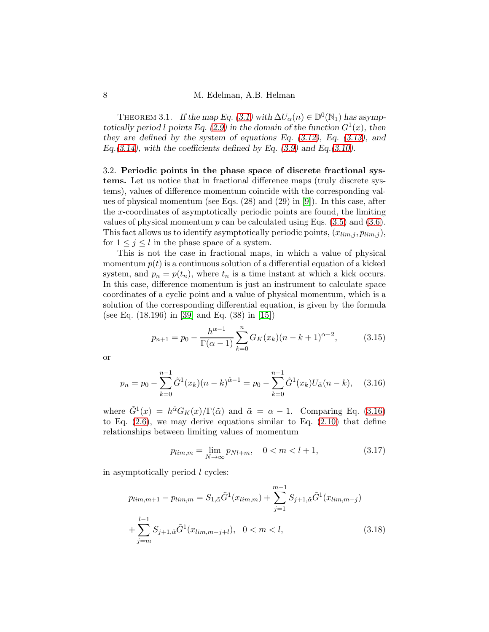<span id="page-7-1"></span>THEOREM 3.1. If the map Eq. [\(3.1\)](#page-5-0) with  $\Delta U_{\alpha}(n) \in \mathbb{D}^0(\mathbb{N}_1)$  has asymp-totically period l points Eq. [\(2.9\)](#page-3-1) in the domain of the function  $G^1(x)$ , then they are defined by the system of equations Eq.  $(3.12)$ , Eq.  $(3.13)$ , and Eq.[\(3.14\)](#page-6-2), with the coefficients defined by Eq.  $(3.9)$  and Eq.[\(3.10\)](#page-6-4).

3.2. Periodic points in the phase space of discrete fractional systems. Let us notice that in fractional difference maps (truly discrete systems), values of difference momentum coincide with the corresponding values of physical momentum (see Eqs. (28) and (29) in [\[9\]](#page-23-7)). In this case, after the x-coordinates of asymptotically periodic points are found, the limiting values of physical momentum  $p$  can be calculated using Eqs.  $(3.5)$  and  $(3.6)$ . This fact allows us to identify asymptotically periodic points,  $(x_{lim,j}, p_{lim,j})$ , for  $1 \leq j \leq l$  in the phase space of a system.

This is not the case in fractional maps, in which a value of physical momentum  $p(t)$  is a continuous solution of a differential equation of a kicked system, and  $p_n = p(t_n)$ , where  $t_n$  is a time instant at which a kick occurs. In this case, difference momentum is just an instrument to calculate space coordinates of a cyclic point and a value of physical momentum, which is a solution of the corresponding differential equation, is given by the formula (see Eq. (18.196) in [\[39\]](#page-26-1) and Eq. (38) in [\[15\]](#page-24-0))

$$
p_{n+1} = p_0 - \frac{h^{\alpha - 1}}{\Gamma(\alpha - 1)} \sum_{k=0}^{n} G_K(x_k)(n - k + 1)^{\alpha - 2}, \quad (3.15)
$$

or

<span id="page-7-0"></span>
$$
p_n = p_0 - \sum_{k=0}^{n-1} \tilde{G}^1(x_k)(n-k)^{\tilde{\alpha}-1} = p_0 - \sum_{k=0}^{n-1} \tilde{G}^1(x_k)U_{\tilde{\alpha}}(n-k), \quad (3.16)
$$

where  $\tilde{G}^1(x) = h^{\tilde{\alpha}} G_K(x) / \Gamma(\tilde{\alpha})$  and  $\tilde{\alpha} = \alpha - 1$ . Comparing Eq. [\(3.16\)](#page-7-0) to Eq.  $(2.6)$ , we may derive equations similar to Eq.  $(2.10)$  that define relationships between limiting values of momentum

$$
p_{\lim,m} = \lim_{N \to \infty} p_{Nl+m}, \quad 0 < m < l+1,\tag{3.17}
$$

in asymptotically period l cycles:

$$
p_{\lim,m+1} - p_{\lim,m} = S_{1,\tilde{\alpha}} \tilde{G}^1(x_{\lim,m}) + \sum_{j=1}^{m-1} S_{j+1,\tilde{\alpha}} \tilde{G}^1(x_{\lim,m-j}) + \sum_{j=m}^{l-1} S_{j+1,\tilde{\alpha}} \tilde{G}^1(x_{\lim,m-j+l}), \quad 0 < m < l,\tag{3.18}
$$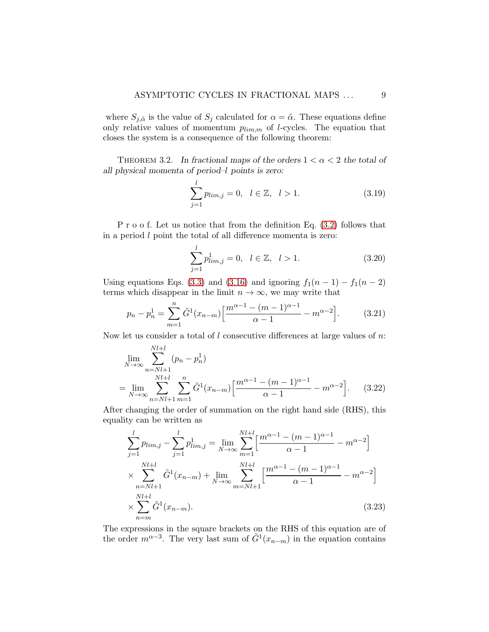where  $S_{j,\tilde{\alpha}}$  is the value of  $S_j$  calculated for  $\alpha = \tilde{\alpha}$ . These equations define only relative values of momentum  $p_{lim,m}$  of *l*-cycles. The equation that closes the system is a consequence of the following theorem:

<span id="page-8-1"></span>THEOREM 3.2. In fractional maps of the orders  $1 < \alpha < 2$  the total of all physical momenta of period–l points is zero:

$$
\sum_{j=1}^{l} p_{\lim,j} = 0, \quad l \in \mathbb{Z}, \quad l > 1. \tag{3.19}
$$

P r o o f. Let us notice that from the definition Eq. [\(3.2\)](#page-5-1) follows that in a period l point the total of all difference momenta is zero:

$$
\sum_{j=1}^{l} p_{lim,j}^{1} = 0, \quad l \in \mathbb{Z}, \quad l > 1.
$$
 (3.20)

Using equations Eqs. [\(3.3\)](#page-5-3) and [\(3.16\)](#page-7-0) and ignoring  $f_1(n-1) - f_1(n-2)$ terms which disappear in the limit  $n \to \infty$ , we may write that

$$
p_n - p_n^1 = \sum_{m=1}^n \tilde{G}^1(x_{n-m}) \left[ \frac{m^{\alpha-1} - (m-1)^{\alpha-1}}{\alpha - 1} - m^{\alpha-2} \right].
$$
 (3.21)

Now let us consider a total of  $l$  consecutive differences at large values of  $n$ .

$$
\lim_{N \to \infty} \sum_{n=Nl+1}^{Nl+l} (p_n - p_n^1)
$$
\n
$$
= \lim_{N \to \infty} \sum_{n=Nl+1}^{Nl+l} \sum_{m=1}^n \tilde{G}^1(x_{n-m}) \left[ \frac{m^{\alpha-1} - (m-1)^{\alpha-1}}{\alpha-1} - m^{\alpha-2} \right].
$$
\n(3.22)

After changing the order of summation on the right hand side (RHS), this equality can be written as

<span id="page-8-0"></span>
$$
\sum_{j=1}^{l} p_{lim,j} - \sum_{j=1}^{l} p_{lim,j}^{1} = \lim_{N \to \infty} \sum_{m=1}^{Nl+l} \left[ \frac{m^{\alpha-1} - (m-1)^{\alpha-1}}{\alpha - 1} - m^{\alpha-2} \right]
$$
  

$$
\times \sum_{n=Nl+1}^{Nl+l} \tilde{G}^{1}(x_{n-m}) + \lim_{N \to \infty} \sum_{m=Nl+1}^{Nl+l} \left[ \frac{m^{\alpha-1} - (m-1)^{\alpha-1}}{\alpha - 1} - m^{\alpha-2} \right]
$$
  

$$
\times \sum_{n=m}^{Nl+l} \tilde{G}^{1}(x_{n-m}).
$$
 (3.23)

The expressions in the square brackets on the RHS of this equation are of the order  $m^{\alpha-3}$ . The very last sum of  $\tilde{G}^1(x_{n-m})$  in the equation contains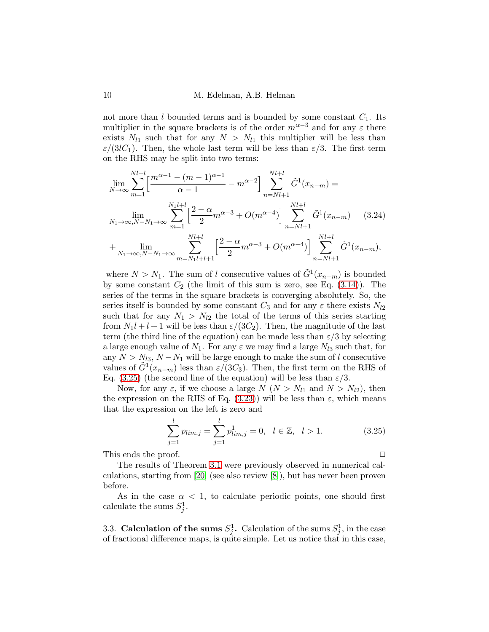not more than l bounded terms and is bounded by some constant  $C_1$ . Its multiplier in the square brackets is of the order  $m^{\alpha-3}$  and for any  $\varepsilon$  there exists  $N_{l1}$  such that for any  $N > N_{l1}$  this multiplier will be less than  $\varepsilon/(3lC_1)$ . Then, the whole last term will be less than  $\varepsilon/3$ . The first term on the RHS may be split into two terms:

<span id="page-9-0"></span>
$$
\lim_{N \to \infty} \sum_{m=1}^{Nl+l} \left[ \frac{m^{\alpha-1} - (m-1)^{\alpha-1}}{\alpha - 1} - m^{\alpha-2} \right] \sum_{n=Nl+1}^{Nl+l} \tilde{G}^1(x_{n-m}) =
$$
\n
$$
\lim_{N_1 \to \infty, N-N_1 \to \infty} \sum_{m=1}^{N_1l+l} \left[ \frac{2 - \alpha}{2} m^{\alpha-3} + O(m^{\alpha-4}) \right] \sum_{n=Nl+1}^{Nl+l} \tilde{G}^1(x_{n-m}) \qquad (3.24)
$$
\n
$$
+ \lim_{N_1 \to \infty, N-N_1 \to \infty} \sum_{m=N_1l+l+1}^{Nl+l} \left[ \frac{2 - \alpha}{2} m^{\alpha-3} + O(m^{\alpha-4}) \right] \sum_{n=Nl+1}^{Nl+l} \tilde{G}^1(x_{n-m}),
$$

where  $N > N_1$ . The sum of l consecutive values of  $\tilde{G}^1(x_{n-m})$  is bounded by some constant  $C_2$  (the limit of this sum is zero, see Eq.  $(3.14)$ ). The series of the terms in the square brackets is converging absolutely. So, the series itself is bounded by some constant  $C_3$  and for any  $\varepsilon$  there exists  $N_{l2}$ such that for any  $N_1 > N_{2}$  the total of the terms of this series starting from  $N_1l + l + 1$  will be less than  $\varepsilon/(3C_2)$ . Then, the magnitude of the last term (the third line of the equation) can be made less than  $\varepsilon/3$  by selecting a large enough value of  $N_1$ . For any  $\varepsilon$  we may find a large  $N_{l3}$  such that, for any  $N > N_{l3}$ ,  $N - N_1$  will be large enough to make the sum of l consecutive values of  $\tilde{G}^{1}(x_{n-m})$  less than  $\varepsilon/(3C_{3})$ . Then, the first term on the RHS of Eq. [\(3.25\)](#page-9-0) (the second line of the equation) will be less than  $\varepsilon/3$ .

Now, for any  $\varepsilon$ , if we choose a large  $N(N > N_{l1})$  and  $N > N_{l2}$ , then the expression on the RHS of Eq.  $(3.23)$ ) will be less than  $\varepsilon$ , which means that the expression on the left is zero and

$$
\sum_{j=1}^{l} p_{\lim,j} = \sum_{j=1}^{l} p_{\lim,j}^{1} = 0, \quad l \in \mathbb{Z}, \quad l > 1. \tag{3.25}
$$

This ends the proof.  $\Box$ 

The results of Theorem [3.1](#page-7-1) were previously observed in numerical calculations, starting from [\[20\]](#page-24-2) (see also review [\[8\]](#page-23-6)), but has never been proven before.

As in the case  $\alpha < 1$ , to calculate periodic points, one should first calculate the sums  $S_j^1$ .

3.3. Calculation of the sums  $S_j^1$ . Calculation of the sums  $S_j^1$ , in the case of fractional difference maps, is quite simple. Let us notice that in this case,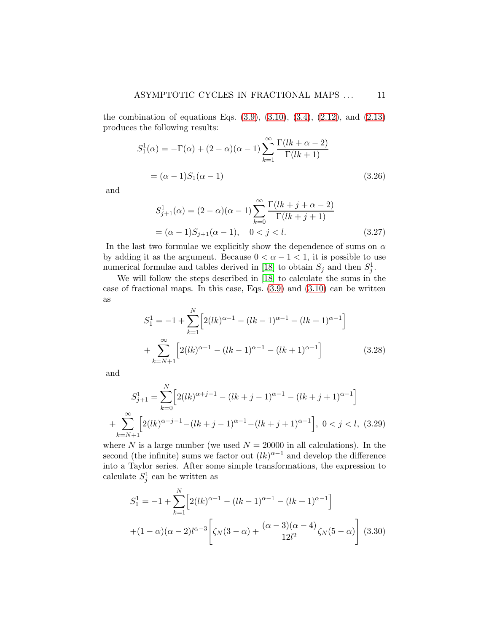the combination of equations Eqs.  $(3.9)$ ,  $(3.10)$ ,  $(3.4)$ ,  $(2.12)$ , and  $(2.13)$ produces the following results:

$$
S_1^1(\alpha) = -\Gamma(\alpha) + (2 - \alpha)(\alpha - 1) \sum_{k=1}^{\infty} \frac{\Gamma(lk + \alpha - 2)}{\Gamma(lk + 1)}
$$
  
=  $(\alpha - 1)S_1(\alpha - 1)$  (3.26)

and

$$
S_{j+1}^1(\alpha) = (2 - \alpha)(\alpha - 1) \sum_{k=0}^{\infty} \frac{\Gamma(lk + j + \alpha - 2)}{\Gamma(lk + j + 1)}
$$
  
= (\alpha - 1)S\_{j+1}(\alpha - 1), \quad 0 < j < l. \tag{3.27}

In the last two formulae we explicitly show the dependence of sums on  $\alpha$ by adding it as the argument. Because  $0 < \alpha - 1 < 1$ , it is possible to use numerical formulae and tables derived in [\[18\]](#page-24-7) to obtain  $S_j$  and then  $S_j^1$ .

We will follow the steps described in [\[18\]](#page-24-7) to calculate the sums in the case of fractional maps. In this case, Eqs. [\(3.9\)](#page-6-3) and [\(3.10\)](#page-6-4) can be written as

$$
S_1^1 = -1 + \sum_{k=1}^N \left[ 2(lk)^{\alpha - 1} - (lk - 1)^{\alpha - 1} - (lk + 1)^{\alpha - 1} \right]
$$
  
+ 
$$
\sum_{k=N+1}^{\infty} \left[ 2(lk)^{\alpha - 1} - (lk - 1)^{\alpha - 1} - (lk + 1)^{\alpha - 1} \right]
$$
(3.28)

and

$$
S_{j+1}^1 = \sum_{k=0}^N \left[ 2(lk)^{\alpha+j-1} - (lk+j-1)^{\alpha-1} - (lk+j+1)^{\alpha-1} \right]
$$
  
+ 
$$
\sum_{k=N+1}^{\infty} \left[ 2(lk)^{\alpha+j-1} - (lk+j-1)^{\alpha-1} - (lk+j+1)^{\alpha-1} \right], \ 0 < j < l, \ (3.29)
$$

where N is a large number (we used  $N = 20000$  in all calculations). In the second (the infinite) sums we factor out  $(lk)^{\alpha-1}$  and develop the difference into a Taylor series. After some simple transformations, the expression to calculate  $S_j^1$  can be written as

<span id="page-10-0"></span>
$$
S_1^1 = -1 + \sum_{k=1}^N \left[ 2(lk)^{\alpha - 1} - (lk - 1)^{\alpha - 1} - (lk + 1)^{\alpha - 1} \right]
$$

$$
+ (1 - \alpha)(\alpha - 2)l^{\alpha - 3} \left[ \zeta_N(3 - \alpha) + \frac{(\alpha - 3)(\alpha - 4)}{12l^2} \zeta_N(5 - \alpha) \right] (3.30)
$$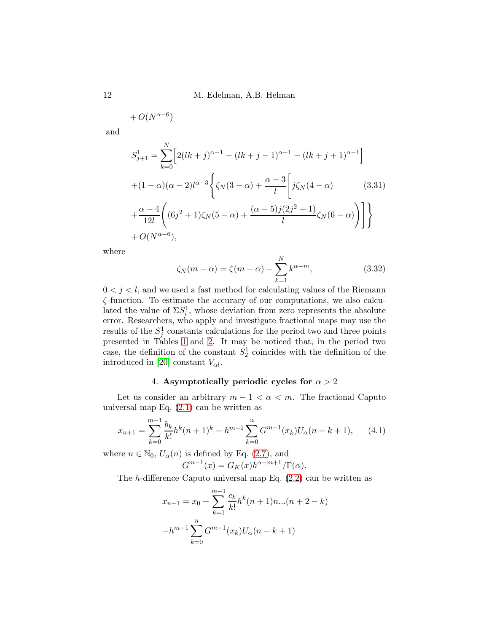12 M. Edelman, A.B. Helman

$$
+O(N^{\alpha-6})
$$

and

<span id="page-11-3"></span>
$$
S_{j+1}^{1} = \sum_{k=0}^{N} \left[ 2(lk+j)^{\alpha-1} - (lk+j-1)^{\alpha-1} - (lk+j+1)^{\alpha-1} \right]
$$
  
+(1 - \alpha)(\alpha - 2)l^{\alpha-3} \left\{ \zeta\_N(3-\alpha) + \frac{\alpha-3}{l} \left[ j\zeta\_N(4-\alpha) \right] \right\}  
+\frac{\alpha-4}{12l} \left( (6j^2+1)\zeta\_N(5-\alpha) + \frac{(\alpha-5)j(2j^2+1)}{l} \zeta\_N(6-\alpha) \right) \right] \Big\}  
+ O(N^{\alpha-6}),

where

<span id="page-11-2"></span>
$$
\zeta_N(m-\alpha) = \zeta(m-\alpha) - \sum_{k=1}^N k^{\alpha-m},\tag{3.32}
$$

 $0 < j < l$ , and we used a fast method for calculating values of the Riemann ζ-function. To estimate the accuracy of our computations, we also calculated the value of  $\Sigma S_i^1$ , whose deviation from zero represents the absolute error. Researchers, who apply and investigate fractional maps may use the results of the  $S_j^1$  constants calculations for the period two and three points presented in Tables [1](#page-12-0) and [2.](#page-13-0) It may be noticed that, in the period two case, the definition of the constant  $S_2^1$  coincides with the definition of the introduced in [\[20\]](#page-24-2) constant  $V_{\alpha l}$ .

# 4. Asymptotically periodic cycles for  $\alpha > 2$

Let us consider an arbitrary  $m - 1 < \alpha < m$ . The fractional Caputo universal map Eq.  $(2.1)$  can be written as

<span id="page-11-1"></span>
$$
x_{n+1} = \sum_{k=0}^{m-1} \frac{b_k}{k!} h^k (n+1)^k - h^{m-1} \sum_{k=0}^n G^{m-1}(x_k) U_\alpha (n-k+1), \qquad (4.1)
$$

where  $n \in \mathbb{N}_0$ ,  $U_\alpha(n)$  is defined by Eq. [\(2.7\)](#page-3-5), and  $G^{m-1}(x) = G_K(x)h^{\alpha-m+1}/\Gamma(\alpha).$ 

The h-difference Caputo universal map Eq.  $(2.2)$  can be written as

<span id="page-11-0"></span>
$$
x_{n+1} = x_0 + \sum_{k=1}^{m-1} \frac{c_k}{k!} h^k (n+1) n \dots (n+2-k)
$$

$$
-h^{m-1} \sum_{k=0}^{n} G^{m-1}(x_k) U_{\alpha} (n-k+1)
$$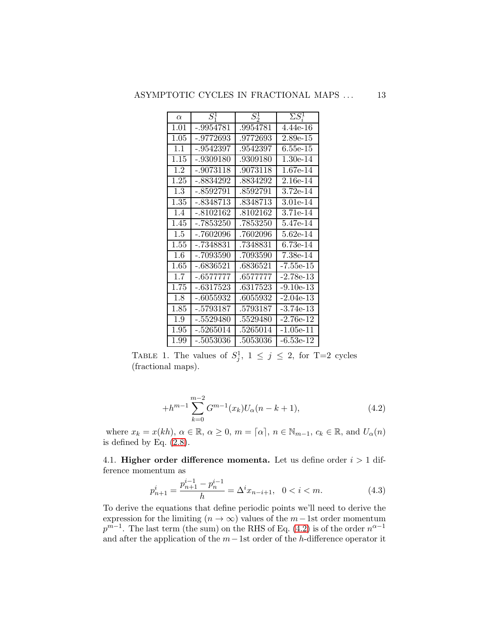| $\alpha$ | $S^1$       | $S^1_2$  | $\Sigma S_i^1$ |
|----------|-------------|----------|----------------|
| 1.01     | -.9954781   | .9954781 | $4.44e-16$     |
| 1.05     | -.9772693   | .9772693 | $2.89e-15$     |
| 1.1      | -.9542397   | .9542397 | $6.55e-15$     |
| 1.15     | -.9309180   | .9309180 | 1.30e-14       |
| 1.2      | -.9073118   | .9073118 | 1.67e-14       |
| 1.25     | $-.8834292$ | .8834292 | 2.16e-14       |
| 1.3      | $-.8592791$ | .8592791 | 3.72e-14       |
| 1.35     | -.8348713   | .8348713 | 3.01e-14       |
| 1.4      | $-.8102162$ | .8102162 | 3.71e-14       |
| 1.45     | -.7853250   | .7853250 | 5.47e-14       |
| 1.5      | -.7602096   | .7602096 | 5.62e-14       |
| 1.55     | $-.7348831$ | .7348831 | 6.73e-14       |
| 1.6      | -.7093590   | .7093590 | 7.38e-14       |
| 1.65     | -.6836521   | .6836521 | -7.55e-15      |
| 1.7      | -.6577777   | .6577777 | $-2.78e-13$    |
| 1.75     | -.6317523   | .6317523 | $-9.10e-13$    |
| 1.8      | $-.6055932$ | .6055932 | $-2.04e-13$    |
| 1.85     | -.5793187   | .5793187 | $-3.74e-13$    |
| 1.9      | -.5529480   | .5529480 | $-2.76e-12$    |
| 1.95     | -.5265014   | .5265014 | $-1.05e-11$    |
| $1.99\,$ | $-.5053036$ | .5053036 | $-6.53e-12$    |

TABLE 1. The values of  $S_j^1$ ,  $1 \leq j \leq 2$ , for T=2 cycles (fractional maps).

<span id="page-12-0"></span>
$$
+h^{m-1} \sum_{k=0}^{m-2} G^{m-1}(x_k) U_{\alpha}(n-k+1), \tag{4.2}
$$

where  $x_k = x(kh)$ ,  $\alpha \in \mathbb{R}$ ,  $\alpha \ge 0$ ,  $m = \lceil \alpha \rceil$ ,  $n \in \mathbb{N}_{m-1}$ ,  $c_k \in \mathbb{R}$ , and  $U_{\alpha}(n)$ is defined by Eq.  $(2.8)$ .

4.1. Higher order difference momenta. Let us define order  $i > 1$  difference momentum as

$$
p_{n+1}^i = \frac{p_{n+1}^{i-1} - p_n^{i-1}}{h} = \Delta^i x_{n-i+1}, \ \ 0 < i < m. \tag{4.3}
$$

To derive the equations that define periodic points we'll need to derive the expression for the limiting ( $n \to \infty$ ) values of the  $m-1$ st order momentum  $p^{m-1}$ . The last term (the sum) on the RHS of Eq. [\(4.2\)](#page-11-0) is of the order  $n^{\alpha-1}$ and after the application of the  $m-1$ st order of the h-difference operator it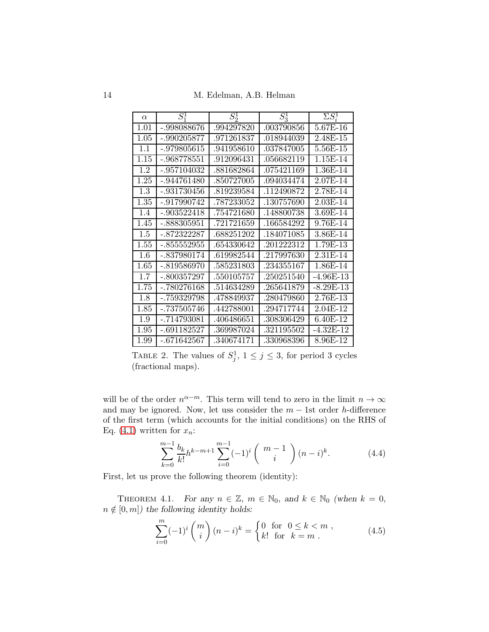14 M. Edelman, A.B. Helman

| $\alpha$ | $S^1$         | $\overline{S_2^1}$ | $S^1_3$    | $\Sigma S_i^1$ |
|----------|---------------|--------------------|------------|----------------|
| 1.01     | -.998088676   | .994297820         | .003790856 | 5.67E-16       |
| 1.05     | -.990205877   | .971261837         | .018944039 | 2.48E-15       |
| 1.1      | -.979805615   | .941958610         | .037847005 | 5.56E-15       |
| 1.15     | -.968778551   | .912096431         | .056682119 | 1.15E-14       |
| 1.2      | -.957104032   | .881682864         | .075421169 | 1.36E-14       |
| 1.25     | $-.944761480$ | .850727005         | .094034474 | 2.07E-14       |
| 1.3      | -.931730456   | .819239584         | .112490872 | 2.78E-14       |
| 1.35     | -.917990742   | .787233052         | .130757690 | $2.03E-14$     |
| 1.4      | $-.903522418$ | .754721680         | .148800738 | 3.69E-14       |
| 1.45     | - 888305951   | .721721659         | .166584292 | 9.76E-14       |
| 1.5      | $-.872322287$ | .688251202         | .184071085 | 3.86E-14       |
| 1.55     | -.855552955   | .654330642         | .201222312 | 1.79E-13       |
| 1.6      | -.837980174   | .619982544         | .217997630 | 2.31E-14       |
| 1.65     | -.819586970   | .585231803         | .234355167 | 1.86E-14       |
| 1.7      | $-.800357297$ | .550105757         | .250251540 | $-4.96E-13$    |
| 1.75     | $-.780276168$ | .514634289         | .265641879 | $-8.29E-13$    |
| 1.8      | -.759329798   | .478849937         | .280479860 | 2.76E-13       |
| 1.85     | -.737505746   | .442788001         | .294717744 | 2.04E-12       |
| 1.9      | -.714793081   | .406486651         | .308306429 | 6.40E-12       |
| 1.95     | $-.691182527$ | .369987024         | .321195502 | $-4.32E-12$    |
| 1.99     | $-.671642567$ | .340674171         | .330968396 | 8.96E-12       |

<span id="page-13-0"></span>TABLE 2. The values of  $S_j^1$ ,  $1 \leq j \leq 3$ , for period 3 cycles (fractional maps).

will be of the order  $n^{\alpha-m}$ . This term will tend to zero in the limit  $n \to \infty$ and may be ignored. Now, let use consider the  $m - 1$ st order h-difference of the first term (which accounts for the initial conditions) on the RHS of Eq. [\(4.1\)](#page-11-1) written for  $x_n$ :

<span id="page-13-2"></span>
$$
\sum_{k=0}^{m-1} \frac{b_k}{k!} h^{k-m+1} \sum_{i=0}^{m-1} (-1)^i \binom{m-1}{i} (n-i)^k.
$$
 (4.4)

First, let us prove the following theorem (identity):

<span id="page-13-3"></span>THEOREM 4.1. For any  $n \in \mathbb{Z}$ ,  $m \in \mathbb{N}_0$ , and  $k \in \mathbb{N}_0$  (when  $k = 0$ ,  $n \notin [0, m]$ ) the following identity holds:

<span id="page-13-1"></span>
$$
\sum_{i=0}^{m} (-1)^{i} {m \choose i} (n-i)^{k} = \begin{cases} 0 & \text{for } 0 \le k < m ,\\ k! & \text{for } k = m . \end{cases}
$$
 (4.5)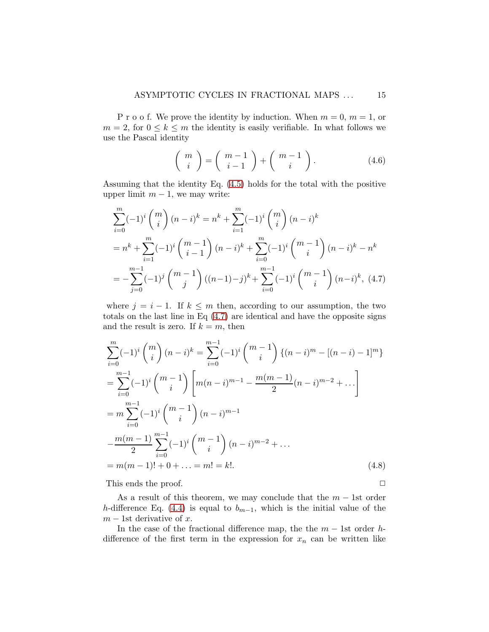P r o o f. We prove the identity by induction. When  $m = 0$ ,  $m = 1$ , or  $m = 2$ , for  $0 \leq k \leq m$  the identity is easily verifiable. In what follows we use the Pascal identity

$$
\left(\begin{array}{c} m \\ i \end{array}\right) = \left(\begin{array}{c} m-1 \\ i-1 \end{array}\right) + \left(\begin{array}{c} m-1 \\ i \end{array}\right). \tag{4.6}
$$

Assuming that the identity Eq. [\(4.5\)](#page-13-1) holds for the total with the positive upper limit  $m - 1$ , we may write:

<span id="page-14-0"></span>
$$
\sum_{i=0}^{m} (-1)^{i} {m \choose i} (n-i)^{k} = n^{k} + \sum_{i=1}^{m} (-1)^{i} {m \choose i} (n-i)^{k}
$$
  
=  $n^{k} + \sum_{i=1}^{m} (-1)^{i} {m-1 \choose i-1} (n-i)^{k} + \sum_{i=0}^{m} (-1)^{i} {m-1 \choose i} (n-i)^{k} - n^{k}$   
=  $-\sum_{j=0}^{m-1} (-1)^{j} {m-1 \choose j} ((n-1)-j)^{k} + \sum_{i=0}^{m-1} (-1)^{i} {m-1 \choose i} (n-i)^{k}, (4.7)$ 

where  $j = i - 1$ . If  $k \leq m$  then, according to our assumption, the two totals on the last line in Eq [\(4.7\)](#page-14-0) are identical and have the opposite signs and the result is zero. If  $k = m$ , then

$$
\sum_{i=0}^{m} (-1)^{i} {m \choose i} (n-i)^{k} = \sum_{i=0}^{m-1} (-1)^{i} {m-1 \choose i} \{(n-i)^{m} - [(n-i)-1]^{m}\}
$$
  
\n
$$
= \sum_{i=0}^{m-1} (-1)^{i} {m-1 \choose i} \left[ m(n-i)^{m-1} - \frac{m(m-1)}{2} (n-i)^{m-2} + \dots \right]
$$
  
\n
$$
= m \sum_{i=0}^{m-1} (-1)^{i} {m-1 \choose i} (n-i)^{m-1}
$$
  
\n
$$
- \frac{m(m-1)}{2} \sum_{i=0}^{m-1} (-1)^{i} {m-1 \choose i} (n-i)^{m-2} + \dots
$$
  
\n
$$
= m(m-1)! + 0 + \dots = m! = k!.
$$
 (4.8)

This ends the proof.  $\Box$ 

As a result of this theorem, we may conclude that the  $m - 1$ st order h-difference Eq. [\(4.4\)](#page-13-2) is equal to  $b_{m-1}$ , which is the initial value of the  $m - 1$ st derivative of x.

In the case of the fractional difference map, the the  $m - 1$ st order hdifference of the first term in the expression for  $x_n$  can be written like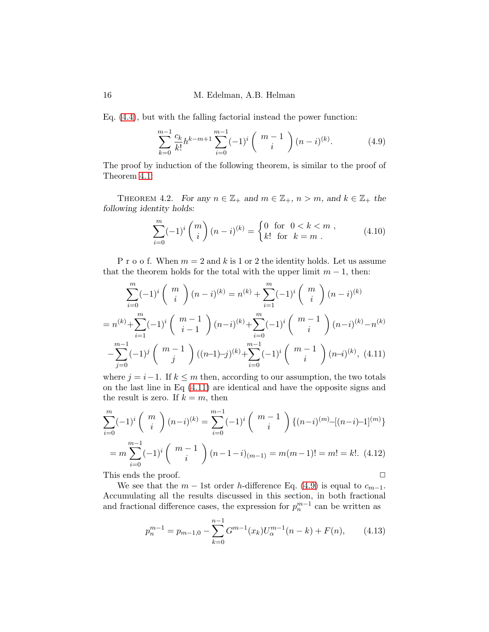16 M. Edelman, A.B. Helman

Eq. [\(4.4\)](#page-13-2), but with the falling factorial instead the power function:

<span id="page-15-1"></span>
$$
\sum_{k=0}^{m-1} \frac{c_k}{k!} h^{k-m+1} \sum_{i=0}^{m-1} (-1)^i \binom{m-1}{i} (n-i)^{(k)}.
$$
 (4.9)

The proof by induction of the following theorem, is similar to the proof of Theorem [4.1:](#page-13-3)

THEOREM 4.2. For any  $n \in \mathbb{Z}_+$  and  $m \in \mathbb{Z}_+$ ,  $n > m$ , and  $k \in \mathbb{Z}_+$  the following identity holds:

$$
\sum_{i=0}^{m} (-1)^{i} {m \choose i} (n-i)^{(k)} = \begin{cases} 0 & \text{for } 0 < k < m \\ k! & \text{for } k = m \end{cases},
$$
 (4.10)

P r o o f. When  $m = 2$  and k is 1 or 2 the identity holds. Let us assume that the theorem holds for the total with the upper limit  $m - 1$ , then:

$$
\sum_{i=0}^{m} (-1)^{i} {m \choose i} (n-i)^{(k)} = n^{(k)} + \sum_{i=1}^{m} (-1)^{i} {m \choose i} (n-i)^{(k)}
$$

$$
= n^{(k)} + \sum_{i=1}^{m} (-1)^{i} {m-1 \choose i-1} (n-i)^{(k)} + \sum_{i=0}^{m} (-1)^{i} {m-1 \choose i} (n-i)^{(k)} - n^{(k)}
$$

$$
- \sum_{j=0}^{m-1} (-1)^{j} {m-1 \choose j} ((n-1)-j)^{(k)} + \sum_{i=0}^{m-1} (-1)^{i} {m-1 \choose i} (n-i)^{(k)}, (4.11)
$$

<span id="page-15-0"></span>where  $j = i-1$ . If  $k \leq m$  then, according to our assumption, the two totals on the last line in Eq [\(4.11\)](#page-15-0) are identical and have the opposite signs and the result is zero. If  $k = m$ , then

$$
\sum_{i=0}^{m} (-1)^{i} {m \choose i} (n-i)^{(k)} = \sum_{i=0}^{m-1} (-1)^{i} {m-1 \choose i} \{(n-i)^{(m)} - [(n-i)-1]^{(m)}\}
$$

$$
= m \sum_{i=0}^{m-1} (-1)^{i} {m-1 \choose i} (n-1-i)_{(m-1)} = m(m-1)! = m! = k!.
$$
 (4.12)

This ends the proof.  $\Box$ 

We see that the  $m - 1$ st order h-difference Eq. [\(4.9\)](#page-15-1) is equal to  $c_{m-1}$ . Accumulating all the results discussed in this section, in both fractional and fractional difference cases, the expression for  $p_n^{m-1}$  can be written as

<span id="page-15-2"></span>
$$
p_n^{m-1} = p_{m-1,0} - \sum_{k=0}^{n-1} G^{m-1}(x_k) U_{\alpha}^{m-1}(n-k) + F(n), \qquad (4.13)
$$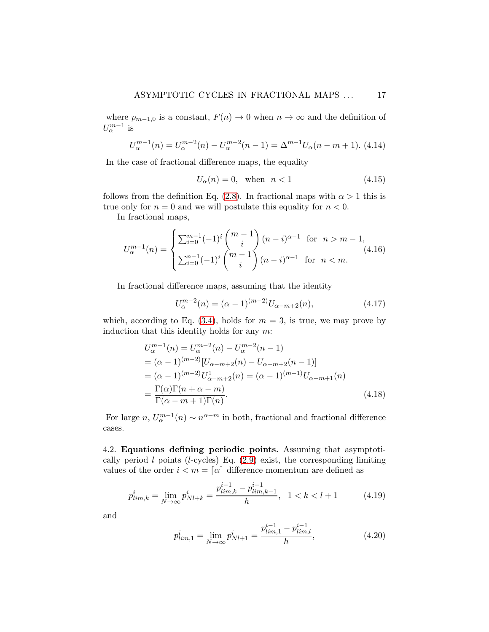where  $p_{m-1,0}$  is a constant,  $F(n) \to 0$  when  $n \to \infty$  and the definition of  $U_{\alpha}^{m-1}$  is

<span id="page-16-0"></span>
$$
U_{\alpha}^{m-1}(n) = U_{\alpha}^{m-2}(n) - U_{\alpha}^{m-2}(n-1) = \Delta^{m-1} U_{\alpha}(n-m+1). \tag{4.14}
$$

In the case of fractional difference maps, the equality

<span id="page-16-1"></span>
$$
U_{\alpha}(n) = 0, \quad \text{when} \quad n < 1 \tag{4.15}
$$

follows from the definition Eq. [\(2.8\)](#page-3-6). In fractional maps with  $\alpha > 1$  this is true only for  $n = 0$  and we will postulate this equality for  $n < 0$ .

In fractional maps,

$$
U_{\alpha}^{m-1}(n) = \begin{cases} \sum_{i=0}^{m-1} (-1)^{i} \binom{m-1}{i} (n-i)^{\alpha-1} & \text{for } n > m-1, \\ \sum_{i=0}^{n-1} (-1)^{i} \binom{m-1}{i} (n-i)^{\alpha-1} & \text{for } n < m. \end{cases}
$$
(4.16)

In fractional difference maps, assuming that the identity

$$
U_{\alpha}^{m-2}(n) = (\alpha - 1)^{(m-2)} U_{\alpha - m + 2}(n),
$$
\n(4.17)

which, according to Eq.  $(3.4)$ , holds for  $m = 3$ , is true, we may prove by induction that this identity holds for any  $m$ :

<span id="page-16-2"></span>
$$
U_{\alpha}^{m-1}(n) = U_{\alpha}^{m-2}(n) - U_{\alpha}^{m-2}(n-1)
$$
  
=  $(\alpha - 1)^{(m-2)} [U_{\alpha-m+2}(n) - U_{\alpha-m+2}(n-1)]$   
=  $(\alpha - 1)^{(m-2)} U_{\alpha-m+2}^{1}(n) = (\alpha - 1)^{(m-1)} U_{\alpha-m+1}(n)$   
=  $\frac{\Gamma(\alpha)\Gamma(n+\alpha-m)}{\Gamma(\alpha-m+1)\Gamma(n)}$ . (4.18)

For large  $n, U_{\alpha}^{m-1}(n) \sim n^{\alpha-m}$  in both, fractional and fractional difference cases.

4.2. Equations defining periodic points. Assuming that asymptotically period  $l$  points (*l*-cycles) Eq.  $(2.9)$  exist, the corresponding limiting values of the order  $i < m = [\alpha]$  difference momentum are defined as

$$
p_{\lim,k}^i = \lim_{N \to \infty} p_{Nl+k}^i = \frac{p_{\lim,k}^{i-1} - p_{\lim,k-1}^{i-1}}{h}, \quad 1 < k < l+1 \tag{4.19}
$$

and

$$
p_{\lim,1}^i = \lim_{N \to \infty} p_{Nl+1}^i = \frac{p_{\lim,1}^{i-1} - p_{\lim,l}^{i-1}}{h},\tag{4.20}
$$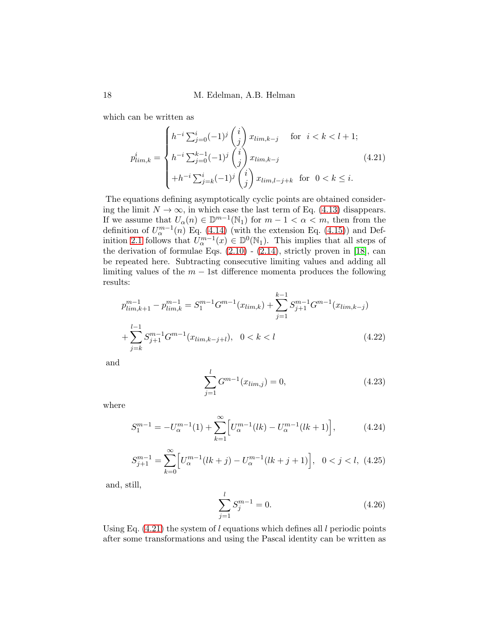which can be written as

<span id="page-17-0"></span>
$$
p_{\lim,k}^i = \begin{cases} h^{-i} \sum_{j=0}^i (-1)^j \binom{i}{j} x_{\lim,k-j} & \text{for } i < k < l+1; \\ h^{-i} \sum_{j=0}^{k-1} (-1)^j \binom{i}{j} x_{\lim,k-j} & \text{if } i \le k \le l+1; \\ +h^{-i} \sum_{j=k}^i (-1)^j \binom{i}{j} x_{\lim,l-j+k} & \text{for } 0 < k \le i. \end{cases} \tag{4.21}
$$

The equations defining asymptotically cyclic points are obtained considering the limit  $N \to \infty$ , in which case the last term of Eq. [\(4.13\)](#page-15-2) disappears. If we assume that  $U_{\alpha}(n) \in \mathbb{D}^{m-1}(\mathbb{N}_1)$  for  $m-1 < \alpha < m$ , then from the definition of  $U_{\alpha}^{m-1}(n)$  Eq. [\(4.14\)](#page-16-0) (with the extension Eq. [\(4.15\)](#page-16-1)) and Def-inition [2.1](#page-4-2) follows that  $U_{\alpha}^{m-1}(x) \in \mathbb{D}^0(\mathbb{N}_1)$ . This implies that all steps of the derivation of formulae Eqs.  $(2.10)$  -  $(2.14)$ , strictly proven in [\[18\]](#page-24-7), can be repeated here. Subtracting consecutive limiting values and adding all limiting values of the  $m - 1$ st difference momenta produces the following results:

$$
p_{\lim,k+1}^{m-1} - p_{\lim,k}^{m-1} = S_1^{m-1} G^{m-1}(x_{\lim,k}) + \sum_{j=1}^{k-1} S_{j+1}^{m-1} G^{m-1}(x_{\lim,k-j}) + \sum_{j=k}^{l-1} S_{j+1}^{m-1} G^{m-1}(x_{\lim,k-j+l}), \quad 0 < k < l \tag{4.22}
$$

and

$$
\sum_{j=1}^{l} G^{m-1}(x_{\lim,j}) = 0,
$$
\n(4.23)

where

<span id="page-17-1"></span>
$$
S_1^{m-1} = -U_{\alpha}^{m-1}(1) + \sum_{k=1}^{\infty} \left[ U_{\alpha}^{m-1}(lk) - U_{\alpha}^{m-1}(lk+1) \right],\tag{4.24}
$$

<span id="page-17-2"></span>
$$
S_{j+1}^{m-1} = \sum_{k=0}^{\infty} \left[ U_{\alpha}^{m-1}(lk+j) - U_{\alpha}^{m-1}(lk+j+1) \right], \quad 0 < j < l, \tag{4.25}
$$

and, still,

$$
\sum_{j=1}^{l} S_j^{m-1} = 0.
$$
\n(4.26)

Using Eq.  $(4.21)$  the system of l equations which defines all l periodic points after some transformations and using the Pascal identity can be written as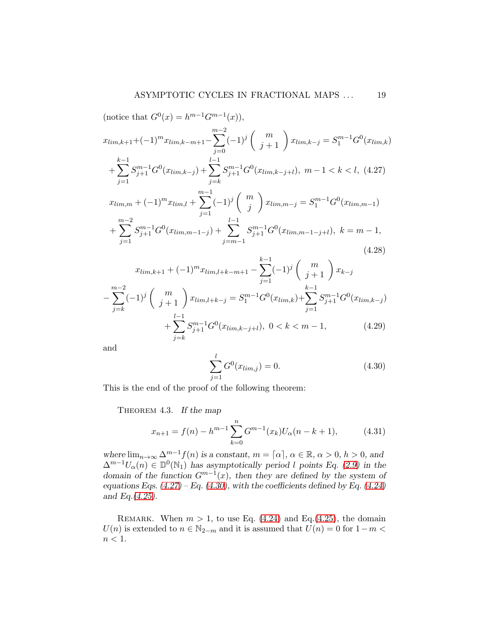<span id="page-18-0"></span>(notice that  $G^{0}(x) = h^{m-1}G^{m-1}(x)$ ),  $x_{\lim,k+1} + (-1)^m x_{\lim,k-m+1} \sum^{m-2}$  $j=0$  $(-1)^j \left( \begin{array}{c} m \ j+1 \end{array} \right) x_{lim,k-j} = S^{m-1}_1 G^0(x_{lim,k})$  $+\sum$  $k-1$  $j=1$  $S_{j+1}^{m-1}G^{0}(x_{lim,k-j})+\sum$  $l-1$  $j=k$  $S_{j+1}^{m-1}G^{0}(x_{\lim,k-j+l}), m-1 < k < l, (4.27)$  $x_{lim,m} + (-1)^m x_{lim,l} +$  $\sum^{m-1}$  $j=1$  $(-1)^j\left(\begin{array}{c}m\\ n\end{array}\right)$ j  $x_{lim,m-j} = S_1^{m-1} G^0(x_{lim,m-1})$  $+$  $\sum^{m-2}$  $j=1$  $S^{m-1}_{j+1}G^0(x_{lim,m-1-j}) + \sum$  $l-1$  $j=m-1$  $S_{j+1}^{m-1}G^{0}(x_{\lim,m-1-j+l}),\;k=m-1,$ 

$$
x_{\lim,k+1} + (-1)^m x_{\lim,l+k-m+1} - \sum_{j=1}^{k-1} (-1)^j \binom{m}{j+1} x_{k-j}
$$
  

$$
- \sum_{j=k}^{m-2} (-1)^j \binom{m}{j+1} x_{\lim,l+k-j} = S_1^{m-1} G^0(x_{\lim,k}) + \sum_{j=1}^{k-1} S_{j+1}^{m-1} G^0(x_{\lim,k-j})
$$
  

$$
+ \sum_{j=k}^{l-1} S_{j+1}^{m-1} G^0(x_{\lim,k-j+l}), \ 0 < k < m-1,
$$
\n
$$
(4.29)
$$

and

<span id="page-18-1"></span>
$$
\sum_{j=1}^{l} G^{0}(x_{\lim,j}) = 0.
$$
\n(4.30)

This is the end of the proof of the following theorem:

<span id="page-18-3"></span>THEOREM 4.3. If the map

<span id="page-18-2"></span>
$$
x_{n+1} = f(n) - h^{m-1} \sum_{k=0}^{n} G^{m-1}(x_k) U_{\alpha}(n-k+1), \tag{4.31}
$$

where  $\lim_{n\to\infty} \Delta^{m-1} f(n)$  is a constant,  $m = [\alpha]$ ,  $\alpha \in \mathbb{R}$ ,  $\alpha > 0$ ,  $h > 0$ , and  $\Delta^{m-1}U_{\alpha}(n) \in \mathbb{D}^0(\mathbb{N}_1)$  has asymptotically period l points Eq. [\(2.9\)](#page-3-1) in the domain of the function  $G^{m-1}(x)$ , then they are defined by the system of equations Eqs.  $(4.27)$  – Eq.  $(4.30)$ , with the coefficients defined by Eq.  $(4.24)$ and Eq.[\(4.25\)](#page-17-2).

REMARK. When  $m > 1$ , to use Eq. [\(4.24\)](#page-17-1) and Eq. [\(4.25\)](#page-17-2), the domain  $U(n)$  is extended to  $n \in \mathbb{N}_{2-m}$  and it is assumed that  $U(n) = 0$  for  $1-m <$  $n < 1$ .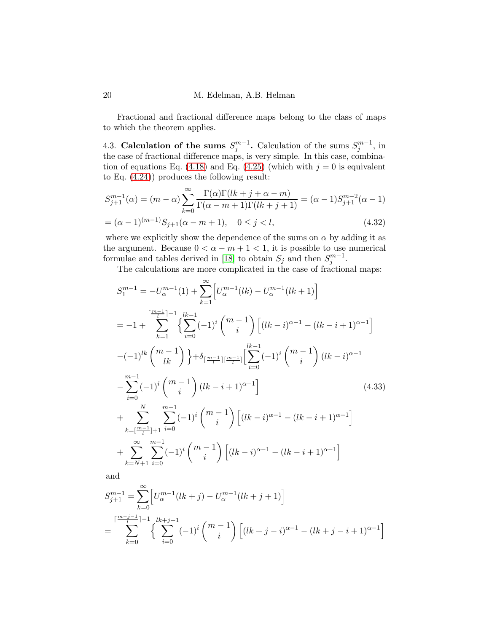Fractional and fractional difference maps belong to the class of maps to which the theorem applies.

4.3. Calculation of the sums  $S_j^{m-1}$ . Calculation of the sums  $S_j^{m-1}$ , in the case of fractional difference maps, is very simple. In this case, combina-tion of equations Eq. [\(4.18\)](#page-16-2) and Eq. [\(4.25\)](#page-17-2) (which with  $j = 0$  is equivalent to Eq. [\(4.24\)](#page-17-1)) produces the following result:

<span id="page-19-2"></span>
$$
S_{j+1}^{m-1}(\alpha) = (m - \alpha) \sum_{k=0}^{\infty} \frac{\Gamma(\alpha)\Gamma(lk + j + \alpha - m)}{\Gamma(\alpha - m + 1)\Gamma(lk + j + 1)} = (\alpha - 1)S_{j+1}^{m-2}(\alpha - 1)
$$
  
=  $(\alpha - 1)^{(m-1)}S_{j+1}(\alpha - m + 1), \quad 0 \le j < l,$  (4.32)

where we explicitly show the dependence of the sums on  $\alpha$  by adding it as the argument. Because  $0 < \alpha - m + 1 < 1$ , it is possible to use numerical formulae and tables derived in [\[18\]](#page-24-7) to obtain  $S_j$  and then  $S_j^{m-1}$ .

The calculations are more complicated in the case of fractional maps:

<span id="page-19-0"></span>
$$
S_{1}^{m-1} = -U_{\alpha}^{m-1}(1) + \sum_{k=1}^{\infty} \left[ U_{\alpha}^{m-1}(lk) - U_{\alpha}^{m-1}(lk+1) \right]
$$
  
\n
$$
= -1 + \sum_{k=1}^{\lceil \frac{m-1}{l} \rceil - 1} \left\{ \sum_{i=0}^{lk-1} (-1)^{i} \binom{m-1}{i} \left[ (lk-i)^{\alpha-1} - (lk-i+1)^{\alpha-1} \right] \right\}
$$
  
\n
$$
-(-1)^{lk} \binom{m-1}{lk} \right\} + \delta_{\lceil \frac{m-1}{l} \rceil \lceil \frac{m-1}{l} \rceil} \left[ \sum_{i=0}^{lk-1} (-1)^{i} \binom{m-1}{i} (lk-i)^{\alpha-1} - \sum_{i=0}^{m-1} (-1)^{i} \binom{m-1}{i} (lk-i+1)^{\alpha-1} \right]
$$
  
\n
$$
+ \sum_{k=\lceil \frac{m-1}{l} \rceil + 1}^{N} \sum_{i=0}^{m-1} (-1)^{i} \binom{m-1}{i} \left[ (lk-i)^{\alpha-1} - (lk-i+1)^{\alpha-1} \right]
$$
  
\n
$$
+ \sum_{k=N+1}^{\infty} \sum_{i=0}^{m-1} (-1)^{i} \binom{m-1}{i} \left[ (lk-i)^{\alpha-1} - (lk-i+1)^{\alpha-1} \right]
$$
  
\n
$$
+ \sum_{k=N+1}^{\infty} \sum_{i=0}^{m-1} (-1)^{i} \binom{m-1}{i} \left[ (lk-i)^{\alpha-1} - (lk-i+1)^{\alpha-1} \right]
$$

and

<span id="page-19-1"></span>
$$
S_{j+1}^{m-1} = \sum_{k=0}^{\infty} \left[ U_{\alpha}^{m-1}(lk+j) - U_{\alpha}^{m-1}(lk+j+1) \right]
$$
  
= 
$$
\sum_{k=0}^{\lceil \frac{m-j-1}{i} \rceil - 1} {\sum_{i=0}^{\lfloor \frac{k+j-1}{i} \rfloor} (-1)^i {m-1 \choose i} \left[ (lk+j-i)^{\alpha-1} - (lk+j-i+1)^{\alpha-1} \right]}
$$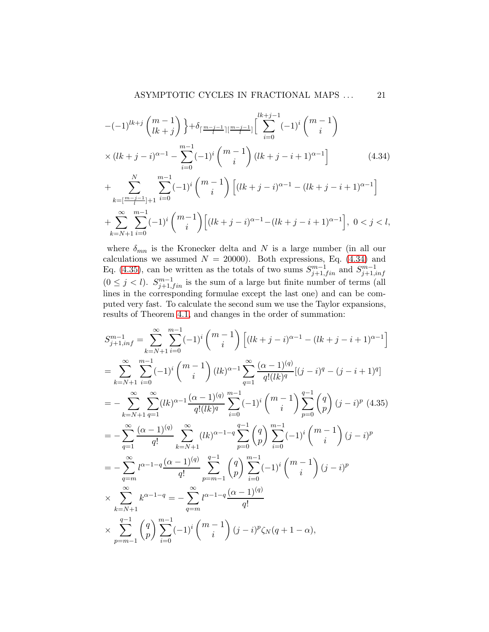$$
-(-1)^{lk+j} \binom{m-1}{lk+j} \} + \delta_{\lceil \frac{m-j-1}{l} \rceil} \lceil \sum_{i=0}^{lk+j-1} (-1)^i \binom{m-1}{i} \times (lk+j-i)^{\alpha-1} - \sum_{i=0}^{m-1} (-1)^i \binom{m-1}{i} (lk+j-i+1)^{\alpha-1} \rceil \qquad (4.34)
$$
  
+ 
$$
\sum_{k=\lceil \frac{m-j-1}{l} \rceil+1}^{N} \sum_{i=0}^{m-1} (-1)^i \binom{m-1}{i} \left[ (lk+j-i)^{\alpha-1} - (lk+j-i+1)^{\alpha-1} \right]
$$
  

$$
\sum_{k=\lceil \frac{m-j-1}{l} \rceil+1}^{N} \sum_{i=0}^{m-1} (-1)^i \binom{m-1}{i} \left[ (lk+j-i)^{\alpha-1} - (lk+j-i+1)^{\alpha-1} \right]
$$

$$
+\sum_{k=N+1}^{\infty}\sum_{i=0}^{m-1}(-1)^{i}\binom{m-1}{i}\Big[(lk+j-i)^{\alpha-1}-(lk+j-i+1)^{\alpha-1}\Big],\ 0 < j < l,
$$

where  $\delta_{mn}$  is the Kronecker delta and N is a large number (in all our calculations we assumed  $N = 20000$ . Both expressions, Eq. [\(4.34\)](#page-19-0) and Eq. [\(4.35\)](#page-19-1), can be written as the totals of two sums  $S_{j+1,fin}^{m-1}$  and  $S_{j+1,i}^{m-1}$  $j+1, inf$  $(0 \leq j < l)$ .  $S^{m-1}_{j+1,fin}$  is the sum of a large but finite number of terms (all lines in the corresponding formulae except the last one) and can be computed very fast. To calculate the second sum we use the Taylor expansions, results of Theorem [4.1,](#page-13-3) and changes in the order of summation:

$$
S_{j+1,inf}^{m-1} = \sum_{k=N+1}^{\infty} \sum_{i=0}^{m-1} (-1)^i {m-1 \choose i} \left[ (lk+j-i)^{\alpha-1} - (lk+j-i+1)^{\alpha-1} \right]
$$
  
\n
$$
= \sum_{k=N+1}^{\infty} \sum_{i=0}^{m-1} (-1)^i {m-1 \choose i} (lk)^{\alpha-1} \sum_{q=1}^{\infty} \frac{(\alpha-1)^{(q)}}{q!(lk)^q} [(j-i)^q - (j-i+1)^q]
$$
  
\n
$$
= - \sum_{k=N+1}^{\infty} \sum_{q=1}^{\infty} (lk)^{\alpha-1} \frac{(\alpha-1)^{(q)}}{q!(lk)^q} \sum_{i=0}^{m-1} (-1)^i {m-1 \choose i} \sum_{p=0}^{q-1} {q \choose p} (j-i)^p (4.35)
$$
  
\n
$$
= - \sum_{q=1}^{\infty} \frac{(\alpha-1)^{(q)}}{q!} \sum_{k=N+1}^{\infty} (lk)^{\alpha-1-q} \sum_{p=0}^{q-1} {q \choose p} \sum_{i=0}^{m-1} (-1)^i {m-1 \choose i} (j-i)^p
$$
  
\n
$$
= - \sum_{q=m}^{\infty} l^{\alpha-1-q} \frac{(\alpha-1)^{(q)}}{q!} \sum_{p=m-1}^{q-1} {q \choose p} \sum_{i=0}^{m-1} (-1)^i {m-1 \choose i} (j-i)^p
$$
  
\n
$$
\times \sum_{k=N+1}^{\infty} k^{\alpha-1-q} = - \sum_{q=m}^{\infty} l^{\alpha-1-q} \frac{(\alpha-1)^{(q)}}{q!}
$$
  
\n
$$
\times \sum_{p=m-1}^{q-1} {q \choose p} \sum_{i=0}^{m-1} (-1)^i {m-1 \choose i} (j-i)^p \zeta_N(q+1-\alpha),
$$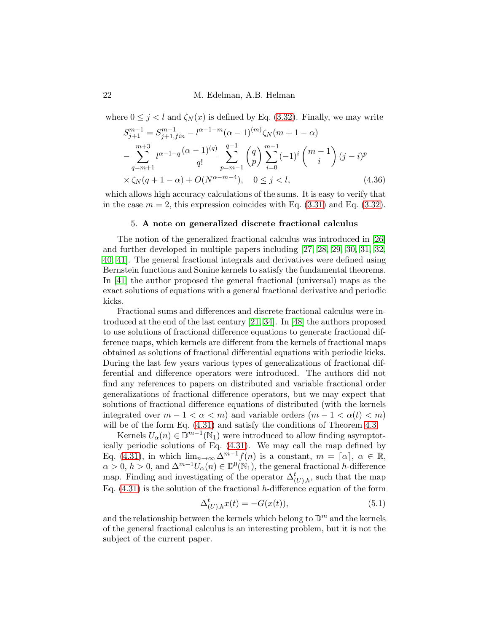where  $0 \leq j < l$  and  $\zeta_N(x)$  is defined by Eq. [\(3.32\)](#page-11-2). Finally, we may write

<span id="page-21-0"></span>
$$
S_{j+1}^{m-1} = S_{j+1,fin}^{m-1} - l^{\alpha-1-m} (\alpha - 1)^{(m)} \zeta_N(m+1-\alpha)
$$
  
 
$$
- \sum_{q=m+1}^{m+3} l^{\alpha-1-q} \frac{(\alpha - 1)^{(q)}}{q!} \sum_{p=m-1}^{q-1} {q \choose p} \sum_{i=0}^{m-1} (-1)^i {m-1 \choose i} (j-i)^p
$$
  
 
$$
\times \zeta_N(q+1-\alpha) + O(N^{\alpha-m-4}), \quad 0 \le j < l,
$$
 (4.36)

which allows high accuracy calculations of the sums. It is easy to verify that in the case  $m = 2$ , this expression coincides with Eq. [\(3.31\)](#page-10-0) and Eq. [\(3.32\)](#page-11-3).

### 5. A note on generalized discrete fractional calculus

The notion of the generalized fractional calculus was introduced in [\[26\]](#page-25-5) and further developed in multiple papers including [\[27,](#page-25-6) [28,](#page-25-7) [29,](#page-25-8) [30,](#page-25-9) [31,](#page-25-10) [32,](#page-25-11) [40,](#page-26-10) [41\]](#page-26-11). The general fractional integrals and derivatives were defined using Bernstein functions and Sonine kernels to satisfy the fundamental theorems. In [\[41\]](#page-26-11) the author proposed the general fractional (universal) maps as the exact solutions of equations with a general fractional derivative and periodic kicks.

Fractional sums and differences and discrete fractional calculus were introduced at the end of the last century [\[21,](#page-24-11) [34\]](#page-25-12). In [\[48\]](#page-26-2) the authors proposed to use solutions of fractional difference equations to generate fractional difference maps, which kernels are different from the kernels of fractional maps obtained as solutions of fractional differential equations with periodic kicks. During the last few years various types of generalizations of fractional differential and difference operators were introduced. The authors did not find any references to papers on distributed and variable fractional order generalizations of fractional difference operators, but we may expect that solutions of fractional difference equations of distributed (with the kernels integrated over  $m-1 < \alpha < m$ ) and variable orders  $(m-1 < \alpha(t) < m)$ will be of the form Eq.  $(4.31)$  and satisfy the conditions of Theorem [4.3.](#page-18-3)

Kernels  $U_{\alpha}(n) \in \mathbb{D}^{m-1}(\mathbb{N}_1)$  were introduced to allow finding asymptotically periodic solutions of Eq. [\(4.31\)](#page-18-2). We may call the map defined by Eq. [\(4.31\)](#page-18-2), in which  $\lim_{n\to\infty} \Delta^{m-1} f(n)$  is a constant,  $m = \lceil \alpha \rceil, \ \alpha \in \mathbb{R}$ ,  $\alpha > 0$ ,  $h > 0$ , and  $\Delta^{m-1} U_{\alpha}(n) \in \mathbb{D}^0(\mathbb{N}_1)$ , the general fractional h-difference map. Finding and investigating of the operator  $\Delta^t_{(U),h}$ , such that the map Eq.  $(4.31)$  is the solution of the fractional h-difference equation of the form

$$
\Delta_{(U),h}^t x(t) = -G(x(t)),\tag{5.1}
$$

and the relationship between the kernels which belong to  $\mathbb{D}^m$  and the kernels of the general fractional calculus is an interesting problem, but it is not the subject of the current paper.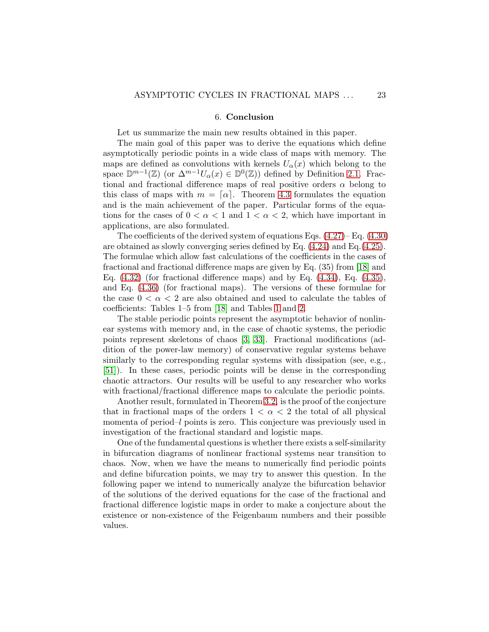### 6. Conclusion

Let us summarize the main new results obtained in this paper.

The main goal of this paper was to derive the equations which define asymptotically periodic points in a wide class of maps with memory. The maps are defined as convolutions with kernels  $U_{\alpha}(x)$  which belong to the space  $\mathbb{D}^{m-1}(\mathbb{Z})$  (or  $\Delta^{m-1}U_{\alpha}(x) \in \mathbb{D}^0(\mathbb{Z})$ ) defined by Definition [2.1.](#page-4-2) Fractional and fractional difference maps of real positive orders  $\alpha$  belong to this class of maps with  $m = [\alpha]$ . Theorem [4.3](#page-18-3) formulates the equation and is the main achievement of the paper. Particular forms of the equations for the cases of  $0 < \alpha < 1$  and  $1 < \alpha < 2$ , which have important in applications, are also formulated.

The coefficients of the derived system of equations Eqs.  $(4.27)$ – Eq.  $(4.30)$ are obtained as slowly converging series defined by Eq. [\(4.24\)](#page-17-1) and Eq.[\(4.25\)](#page-17-2). The formulae which allow fast calculations of the coefficients in the cases of fractional and fractional difference maps are given by Eq. (35) from [\[18\]](#page-24-7) and Eq.  $(4.32)$  (for fractional difference maps) and by Eq.  $(4.34)$ , Eq.  $(4.35)$ , and Eq. [\(4.36\)](#page-21-0) (for fractional maps). The versions of these formulae for the case  $0 < \alpha < 2$  are also obtained and used to calculate the tables of coefficients: Tables 1–5 from [\[18\]](#page-24-7) and Tables [1](#page-12-0) and [2.](#page-13-0)

The stable periodic points represent the asymptotic behavior of nonlinear systems with memory and, in the case of chaotic systems, the periodic points represent skeletons of chaos [\[3,](#page-23-10) [33\]](#page-25-13). Fractional modifications (addition of the power-law memory) of conservative regular systems behave similarly to the corresponding regular systems with dissipation (see, e.g., [\[51\]](#page-26-12)). In these cases, periodic points will be dense in the corresponding chaotic attractors. Our results will be useful to any researcher who works with fractional/fractional difference maps to calculate the periodic points.

Another result, formulated in Theorem [3.2,](#page-8-1) is the proof of the conjecture that in fractional maps of the orders  $1 < \alpha < 2$  the total of all physical momenta of period–l points is zero. This conjecture was previously used in investigation of the fractional standard and logistic maps.

One of the fundamental questions is whether there exists a self-similarity in bifurcation diagrams of nonlinear fractional systems near transition to chaos. Now, when we have the means to numerically find periodic points and define bifurcation points, we may try to answer this question. In the following paper we intend to numerically analyze the bifurcation behavior of the solutions of the derived equations for the case of the fractional and fractional difference logistic maps in order to make a conjecture about the existence or non-existence of the Feigenbaum numbers and their possible values.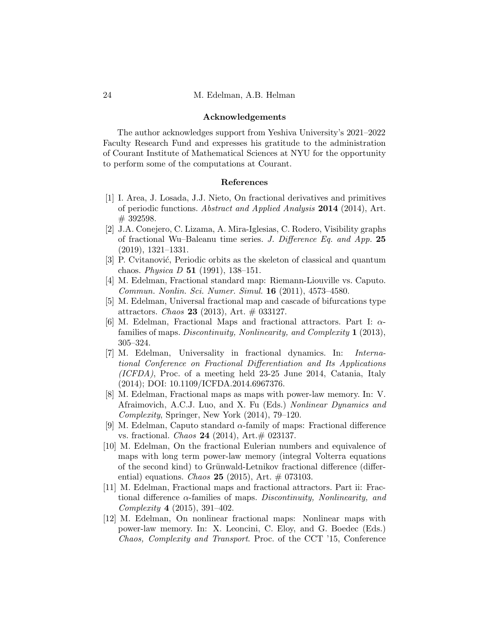### Acknowledgements

The author acknowledges support from Yeshiva University's 2021–2022 Faculty Research Fund and expresses his gratitude to the administration of Courant Institute of Mathematical Sciences at NYU for the opportunity to perform some of the computations at Courant.

### References

- <span id="page-23-11"></span>[1] I. Area, J. Losada, J.J. Nieto, On fractional derivatives and primitives of periodic functions. Abstract and Applied Analysis 2014 (2014), Art. # 392598.
- <span id="page-23-9"></span>[2] J.A. Conejero, C. Lizama, A. Mira-Iglesias, C. Rodero, Visibility graphs of fractional Wu–Baleanu time series. J. Difference Eq. and App. 25 (2019), 1321–1331.
- <span id="page-23-10"></span>[3] P. Cvitanović, Periodic orbits as the skeleton of classical and quantum chaos. *Physica D* 51 (1991), 138-151.
- <span id="page-23-1"></span>[4] M. Edelman, Fractional standard map: Riemann-Liouville vs. Caputo. Commun. Nonlin. Sci. Numer. Simul. 16 (2011), 4573–4580.
- <span id="page-23-0"></span>[5] M. Edelman, Universal fractional map and cascade of bifurcations type attractors. *Chaos* **23** (2013), Art.  $\#$  033127.
- <span id="page-23-2"></span>[6] M. Edelman, Fractional Maps and fractional attractors. Part I:  $\alpha$ families of maps. Discontinuity, Nonlinearity, and Complexity 1 (2013), 305–324.
- <span id="page-23-3"></span>[7] M. Edelman, Universality in fractional dynamics. In: International Conference on Fractional Differentiation and Its Applications (ICFDA), Proc. of a meeting held 23-25 June 2014, Catania, Italy (2014); DOI: 10.1109/ICFDA.2014.6967376.
- <span id="page-23-6"></span>[8] M. Edelman, Fractional maps as maps with power-law memory. In: V. Afraimovich, A.C.J. Luo, and X. Fu (Eds.) Nonlinear Dynamics and Complexity, Springer, New York (2014), 79–120.
- <span id="page-23-7"></span>[9] M. Edelman, Caputo standard  $\alpha$ -family of maps: Fractional difference vs. fractional. *Chaos* **24** (2014), Art. $\#$  023137.
- <span id="page-23-4"></span>[10] M. Edelman, On the fractional Eulerian numbers and equivalence of maps with long term power-law memory (integral Volterra equations of the second kind) to Grünwald-Letnikov fractional difference (differential) equations. Chaos 25 (2015), Art.  $\#$  073103.
- <span id="page-23-8"></span>[11] M. Edelman, Fractional maps and fractional attractors. Part ii: Fractional difference  $\alpha$ -families of maps. Discontinuity, Nonlinearity, and Complexity 4 (2015), 391–402.
- <span id="page-23-5"></span>[12] M. Edelman, On nonlinear fractional maps: Nonlinear maps with power-law memory. In: X. Leoncini, C. Eloy, and G. Boedec (Eds.) Chaos, Complexity and Transport. Proc. of the CCT '15, Conference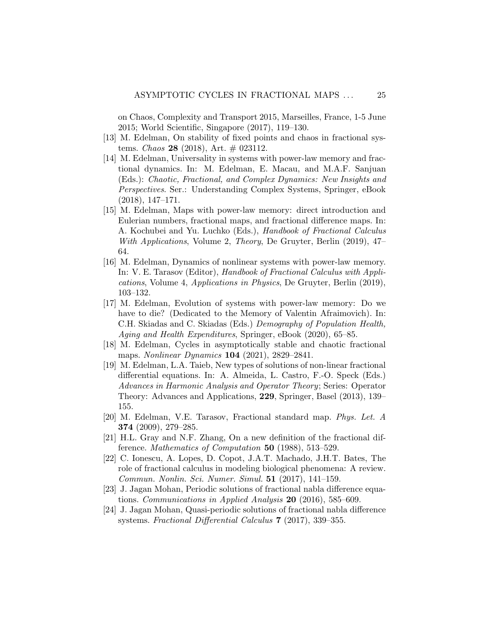on Chaos, Complexity and Transport 2015, Marseilles, France, 1-5 June 2015; World Scientific, Singapore (2017), 119–130.

- <span id="page-24-5"></span><span id="page-24-4"></span>[13] M. Edelman, On stability of fixed points and chaos in fractional systems. *Chaos* 28 (2018), Art.  $\#$  023112.
- [14] M. Edelman, Universality in systems with power-law memory and fractional dynamics. In: M. Edelman, E. Macau, and M.A.F. Sanjuan (Eds.): Chaotic, Fractional, and Complex Dynamics: New Insights and Perspectives. Ser.: Understanding Complex Systems, Springer, eBook (2018), 147–171.
- <span id="page-24-0"></span>[15] M. Edelman, Maps with power-law memory: direct introduction and Eulerian numbers, fractional maps, and fractional difference maps. In: A. Kochubei and Yu. Luchko (Eds.), Handbook of Fractional Calculus With Applications, Volume 2, Theory, De Gruyter, Berlin (2019), 47– 64.
- <span id="page-24-1"></span>[16] M. Edelman, Dynamics of nonlinear systems with power-law memory. In: V. E. Tarasov (Editor), Handbook of Fractional Calculus with Applications, Volume 4, Applications in Physics, De Gruyter, Berlin (2019), 103–132.
- <span id="page-24-6"></span>[17] M. Edelman, Evolution of systems with power-law memory: Do we have to die? (Dedicated to the Memory of Valentin Afraimovich). In: C.H. Skiadas and C. Skiadas (Eds.) Demography of Population Health, Aging and Health Expenditures, Springer, eBook (2020), 65–85.
- <span id="page-24-7"></span>[18] M. Edelman, Cycles in asymptotically stable and chaotic fractional maps. Nonlinear Dynamics 104 (2021), 2829–2841.
- <span id="page-24-3"></span>[19] M. Edelman, L.A. Taieb, New types of solutions of non-linear fractional differential equations. In: A. Almeida, L. Castro, F.-O. Speck (Eds.) Advances in Harmonic Analysis and Operator Theory; Series: Operator Theory: Advances and Applications, 229, Springer, Basel (2013), 139– 155.
- <span id="page-24-2"></span>[20] M. Edelman, V.E. Tarasov, Fractional standard map. Phys. Let. A 374 (2009), 279–285.
- <span id="page-24-11"></span>[21] H.L. Gray and N.F. Zhang, On a new definition of the fractional difference. Mathematics of Computation 50 (1988), 513–529.
- <span id="page-24-8"></span>[22] C. Ionescu, A. Lopes, D. Copot, J.A.T. Machado, J.H.T. Bates, The role of fractional calculus in modeling biological phenomena: A review. Commun. Nonlin. Sci. Numer. Simul. 51 (2017), 141–159.
- <span id="page-24-9"></span>[23] J. Jagan Mohan, Periodic solutions of fractional nabla difference equations. Communications in Applied Analysis 20 (2016), 585–609.
- <span id="page-24-10"></span>[24] J. Jagan Mohan, Quasi-periodic solutions of fractional nabla difference systems. Fractional Differential Calculus 7 (2017), 339–355.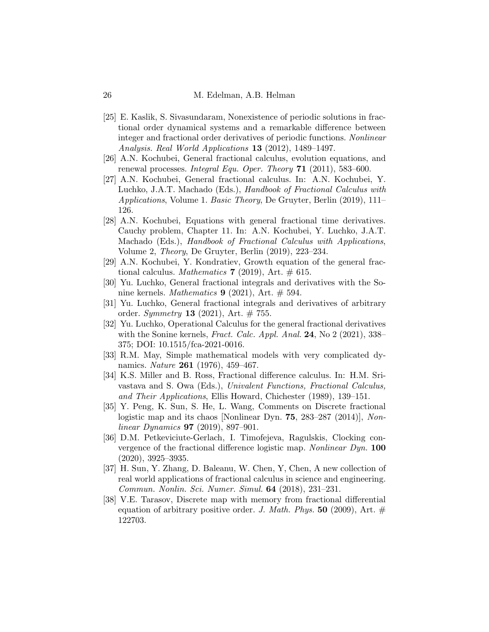- <span id="page-25-4"></span>[25] E. Kaslik, S. Sivasundaram, Nonexistence of periodic solutions in fractional order dynamical systems and a remarkable difference between integer and fractional order derivatives of periodic functions. Nonlinear Analysis. Real World Applications 13 (2012), 1489–1497.
- <span id="page-25-6"></span><span id="page-25-5"></span>[26] A.N. Kochubei, General fractional calculus, evolution equations, and renewal processes. Integral Equ. Oper. Theory 71 (2011), 583–600.
- [27] A.N. Kochubei, General fractional calculus. In: A.N. Kochubei, Y. Luchko, J.A.T. Machado (Eds.), Handbook of Fractional Calculus with Applications, Volume 1. Basic Theory, De Gruyter, Berlin (2019), 111– 126.
- <span id="page-25-7"></span>[28] A.N. Kochubei, Equations with general fractional time derivatives. Cauchy problem, Chapter 11. In: A.N. Kochubei, Y. Luchko, J.A.T. Machado (Eds.), Handbook of Fractional Calculus with Applications, Volume 2, Theory, De Gruyter, Berlin (2019), 223–234.
- <span id="page-25-9"></span><span id="page-25-8"></span>[29] A.N. Kochubei, Y. Kondratiev, Growth equation of the general fractional calculus. Mathematics 7 (2019), Art.  $\#$  615.
- <span id="page-25-10"></span>[30] Yu. Luchko, General fractional integrals and derivatives with the Sonine kernels. Mathematics  $9$  (2021), Art.  $\#$  594.
- <span id="page-25-11"></span>[31] Yu. Luchko, General fractional integrals and derivatives of arbitrary order. Symmetry 13 (2021), Art.  $\# 755$ .
- [32] Yu. Luchko, Operational Calculus for the general fractional derivatives with the Sonine kernels, *Fract. Calc. Appl. Anal.* 24, No 2 (2021), 338– 375; DOI: 10.1515/fca-2021-0016.
- <span id="page-25-13"></span>[33] R.M. May, Simple mathematical models with very complicated dynamics. *Nature* **261** (1976), 459–467.
- <span id="page-25-12"></span>[34] K.S. Miller and B. Ross, Fractional difference calculus. In: H.M. Srivastava and S. Owa (Eds.), Univalent Functions, Fractional Calculus, and Their Applications, Ellis Howard, Chichester (1989), 139–151.
- <span id="page-25-1"></span>[35] Y. Peng, K. Sun, S. He, L. Wang, Comments on Discrete fractional logistic map and its chaos [Nonlinear Dyn. **75**, 283–287 (2014)], Nonlinear Dynamics 97 (2019), 897–901.
- <span id="page-25-2"></span>[36] D.M. Petkeviciute-Gerlach, I. Timofejeva, Ragulskis, Clocking convergence of the fractional difference logistic map. Nonlinear Dyn. 100 (2020), 3925–3935.
- <span id="page-25-3"></span>[37] H. Sun, Y. Zhang, D. Baleanu, W. Chen, Y, Chen, A new collection of real world applications of fractional calculus in science and engineering. Commun. Nonlin. Sci. Numer. Simul. 64 (2018), 231–231.
- <span id="page-25-0"></span>[38] V.E. Tarasov, Discrete map with memory from fractional differential equation of arbitrary positive order. J. Math. Phys. 50 (2009), Art.  $#$ 122703.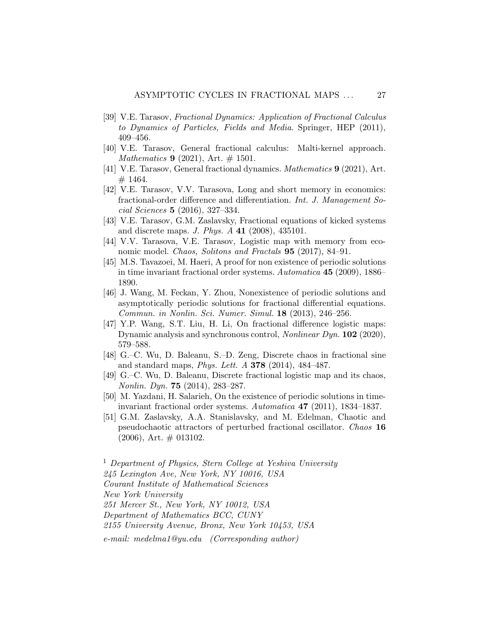- <span id="page-26-1"></span>[39] V.E. Tarasov, Fractional Dynamics: Application of Fractional Calculus to Dynamics of Particles, Fields and Media. Springer, HEP (2011), 409–456.
- <span id="page-26-11"></span><span id="page-26-10"></span>[40] V.E. Tarasov, General fractional calculus: Malti-kernel approach. *Mathematics* **9** (2021), Art.  $\#$  1501.
- <span id="page-26-5"></span>[41] V.E. Tarasov, General fractional dynamics. Mathematics 9 (2021), Art. # 1464.
- [42] V.E. Tarasov, V.V. Tarasova, Long and short memory in economics: fractional-order difference and differentiation. Int. J. Management Social Sciences 5 (2016), 327–334.
- <span id="page-26-6"></span><span id="page-26-0"></span>[43] V.E. Tarasov, G.M. Zaslavsky, Fractional equations of kicked systems and discrete maps. J. Phys. A 41 (2008), 435101.
- <span id="page-26-7"></span>[44] V.V. Tarasova, V.E. Tarasov, Logistic map with memory from economic model. *Chaos, Solitons and Fractals* **95** (2017), 84–91.
- [45] M.S. Tavazoei, M. Haeri, A proof for non existence of periodic solutions in time invariant fractional order systems. Automatica 45 (2009), 1886– 1890.
- <span id="page-26-8"></span>[46] J. Wang, M. Feckan, Y. Zhou, Nonexistence of periodic solutions and asymptotically periodic solutions for fractional differential equations. Commun. in Nonlin. Sci. Numer. Simul. 18 (2013), 246–256.
- <span id="page-26-4"></span>[47] Y.P. Wang, S.T. Liu, H. Li, On fractional difference logistic maps: Dynamic analysis and synchronous control, *Nonlinear Dyn.* **102** (2020), 579–588.
- <span id="page-26-2"></span>[48] G.–C. Wu, D. Baleanu, S.–D. Zeng, Discrete chaos in fractional sine and standard maps, Phys. Lett. A 378 (2014), 484–487.
- <span id="page-26-3"></span>[49] G.–C. Wu, D. Baleanu, Discrete fractional logistic map and its chaos, Nonlin. Dyn. 75 (2014), 283–287.
- <span id="page-26-9"></span>[50] M. Yazdani, H. Salarieh, On the existence of periodic solutions in timeinvariant fractional order systems. Automatica 47 (2011), 1834–1837.
- <span id="page-26-12"></span>[51] G.M. Zaslavsky, A.A. Stanislavsky, and M. Edelman, Chaotic and pseudochaotic attractors of perturbed fractional oscillator. Chaos 16  $(2006)$ , Art.  $\#$  013102.

<sup>1</sup> Department of Physics, Stern College at Yeshiva University 245 Lexington Ave, New York, NY 10016, USA Courant Institute of Mathematical Sciences New York University 251 Mercer St., New York, NY 10012, USA Department of Mathematics BCC, CUNY 2155 University Avenue, Bronx, New York 10453, USA e-mail: medelma1@yu.edu (Corresponding author)